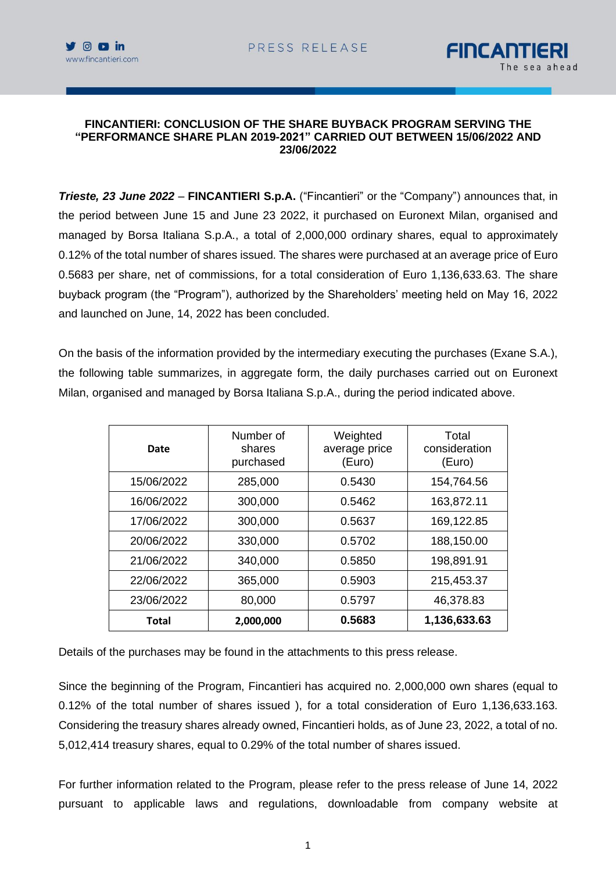



#### **FINCANTIERI: CONCLUSION OF THE SHARE BUYBACK PROGRAM SERVING THE "PERFORMANCE SHARE PLAN 2019-2021" CARRIED OUT BETWEEN 15/06/2022 AND 23/06/2022**

*Trieste, 23 June 2022* – **FINCANTIERI S.p.A.** ("Fincantieri" or the "Company") announces that, in the period between June 15 and June 23 2022, it purchased on Euronext Milan, organised and managed by Borsa Italiana S.p.A., a total of 2,000,000 ordinary shares, equal to approximately 0.12% of the total number of shares issued. The shares were purchased at an average price of Euro 0.5683 per share, net of commissions, for a total consideration of Euro 1,136,633.63. The share buyback program (the "Program"), authorized by the Shareholders' meeting held on May 16, 2022 and launched on June, 14, 2022 has been concluded.

On the basis of the information provided by the intermediary executing the purchases (Exane S.A.), the following table summarizes, in aggregate form, the daily purchases carried out on Euronext Milan, organised and managed by Borsa Italiana S.p.A., during the period indicated above.

| Date       | Number of<br>shares<br>purchased | Weighted<br>average price<br>(Euro) | Total<br>consideration<br>(Euro) |
|------------|----------------------------------|-------------------------------------|----------------------------------|
| 15/06/2022 | 285,000                          | 0.5430                              | 154,764.56                       |
| 16/06/2022 | 300,000                          | 0.5462                              | 163,872.11                       |
| 17/06/2022 | 300,000                          | 0.5637                              | 169,122.85                       |
| 20/06/2022 | 330,000                          | 0.5702                              | 188,150.00                       |
| 21/06/2022 | 340,000                          | 0.5850                              | 198,891.91                       |
| 22/06/2022 | 365,000                          | 0.5903                              | 215,453.37                       |
| 23/06/2022 | 80,000                           | 0.5797                              | 46,378.83                        |
| Total      | 2,000,000                        | 0.5683                              | 1,136,633.63                     |

Details of the purchases may be found in the attachments to this press release.

Since the beginning of the Program, Fincantieri has acquired no. 2,000,000 own shares (equal to 0.12% of the total number of shares issued ), for a total consideration of Euro 1,136,633.163. Considering the treasury shares already owned, Fincantieri holds, as of June 23, 2022, a total of no. 5,012,414 treasury shares, equal to 0.29% of the total number of shares issued.

For further information related to the Program, please refer to the press release of June 14, 2022 pursuant to applicable laws and regulations, downloadable from company website at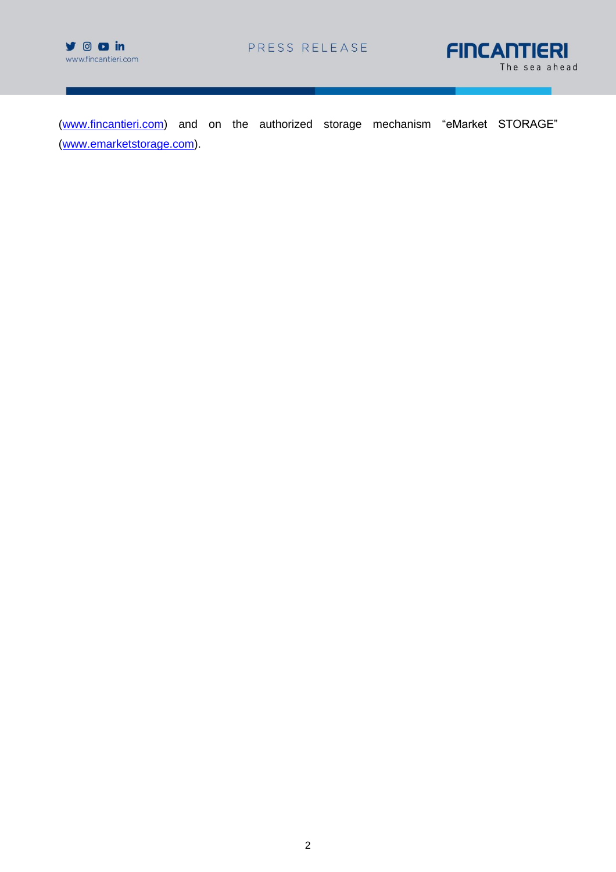



[\(www.fincantieri.com\)](http://www.fincantieri.com/) and on the authorized storage mechanism "eMarket STORAGE" [\(www.emarketstorage.com\)](http://www.emarketstorage.com/).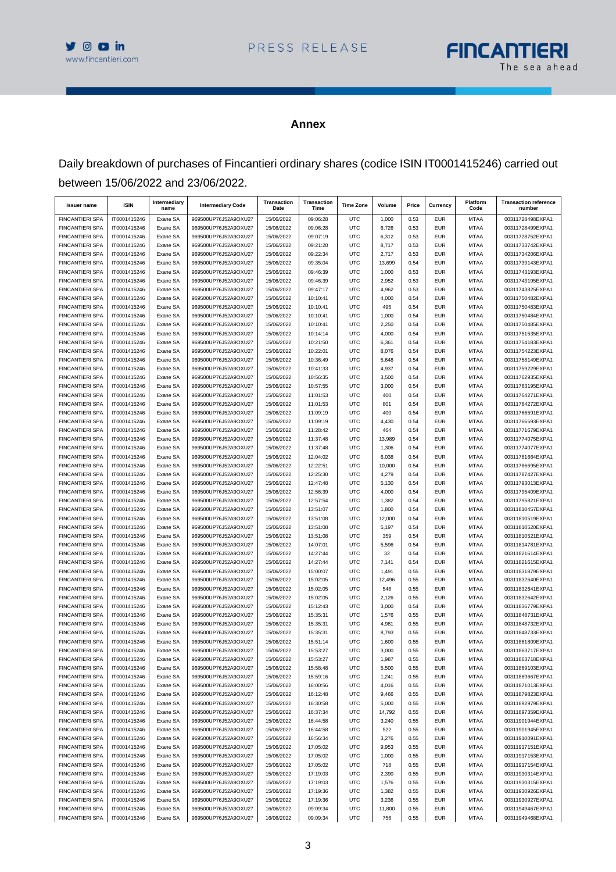



#### **Annex**

Daily breakdown of purchases of Fincantieri ordinary shares (codice ISIN IT0001415246) carried out between 15/06/2022 and 23/06/2022.

| <b>Issuer name</b>                               | <b>ISIN</b>                  | Intermediary<br>name | <b>Intermediary Code</b>                     | Transaction<br>Date      | Transaction<br>Time  | <b>Time Zone</b>         | Volume         | Price        | Currency                 | Platform<br>Code           | <b>Transaction reference</b><br>number |
|--------------------------------------------------|------------------------------|----------------------|----------------------------------------------|--------------------------|----------------------|--------------------------|----------------|--------------|--------------------------|----------------------------|----------------------------------------|
| <b>FINCANTIERI SPA</b>                           | IT0001415246                 | Exane SA             | 969500UP76J52A9OXU27                         | 15/06/2022               | 09:06:28             | UTC                      | 1,000          | 0.53         | <b>EUR</b>               | <b>MTAA</b>                | 00311728498EXPA1                       |
| <b>FINCANTIERI SPA</b>                           | IT0001415246                 | Exane SA             | 969500UP76J52A9OXU27                         | 15/06/2022               | 09:06:28             | UTC                      | 6,726          | 0.53         | <b>EUR</b>               | <b>MTAA</b>                | 00311728499EXPA1                       |
| <b>FINCANTIERI SPA</b>                           | IT0001415246                 | Exane SA             | 969500UP76J52A9OXU27                         | 15/06/2022               | 09:07:19             | <b>UTC</b>               | 6,312          | 0.53         | <b>EUR</b>               | <b>MTAA</b>                | 00311728752EXPA1                       |
| <b>FINCANTIERI SPA</b>                           | IT0001415246                 | Exane SA             | 969500UP76J52A9OXU27                         | 15/06/2022               | 09:21:20             | UTC                      | 8,717          | 0.53         | <b>EUR</b>               | <b>MTAA</b>                | 00311733742EXPA1                       |
| <b>FINCANTIERI SPA</b>                           | IT0001415246                 | Exane SA             | 969500UP76J52A9OXU27                         | 15/06/2022               | 09:22:34             | <b>UTC</b>               | 2,717          | 0.53         | <b>EUR</b>               | <b>MTAA</b>                | 00311734206EXPA1                       |
| <b>FINCANTIERI SPA</b>                           | IT0001415246                 | Exane SA             | 969500UP76J52A9OXU27                         | 15/06/2022               | 09:35:04             | <b>UTC</b>               | 13,699         | 0.54         | <b>EUR</b>               | <b>MTAA</b>                | 00311739143EXPA1                       |
| <b>FINCANTIERI SPA</b>                           | IT0001415246                 | Exane SA             | 969500UP76J52A9OXU27                         | 15/06/2022               | 09:46:39             | UTC                      | 1,000          | 0.53         | <b>EUR</b><br><b>EUR</b> | <b>MTAA</b>                | 00311743193EXPA1                       |
| <b>FINCANTIERI SPA</b>                           | IT0001415246                 | Exane SA             | 969500UP76J52A9OXU27                         | 15/06/2022               | 09:46:39             | <b>UTC</b>               | 2,952<br>4,962 | 0.53         | <b>EUR</b>               | <b>MTAA</b>                | 00311743195EXPA1                       |
| <b>FINCANTIERI SPA</b><br><b>FINCANTIERI SPA</b> | IT0001415246<br>IT0001415246 | Exane SA<br>Exane SA | 969500UP76J52A9OXU27<br>969500UP76J52A9OXU27 | 15/06/2022<br>15/06/2022 | 09:47:17<br>10:10:41 | <b>UTC</b><br>UTC        | 4,000          | 0.53<br>0.54 | <b>EUR</b>               | <b>MTAA</b><br><b>MTAA</b> | 00311743825EXPA1<br>00311750482EXPA1   |
| <b>FINCANTIERI SPA</b>                           | IT0001415246                 | Exane SA             | 969500UP76J52A9OXU27                         | 15/06/2022               | 10:10:41             | <b>UTC</b>               | 495            | 0.54         | <b>EUR</b>               | <b>MTAA</b>                | 00311750483EXPA1                       |
| <b>FINCANTIERI SPA</b>                           | IT0001415246                 | Exane SA             | 969500UP76J52A9OXU27                         | 15/06/2022               | 10:10:41             | <b>UTC</b>               | 1,000          | 0.54         | <b>EUR</b>               | <b>MTAA</b>                | 00311750484EXPA1                       |
| <b>FINCANTIERI SPA</b>                           | IT0001415246                 | Exane SA             | 969500UP76J52A9OXU27                         | 15/06/2022               | 10:10:41             | UTC                      | 2,250          | 0.54         | <b>EUR</b>               | <b>MTAA</b>                | 00311750485EXPA1                       |
| <b>FINCANTIERI SPA</b>                           | IT0001415246                 | Exane SA             | 969500UP76J52A9OXU27                         | 15/06/2022               | 10:14:14             | <b>UTC</b>               | 4,000          | 0.54         | <b>EUR</b>               | <b>MTAA</b>                | 00311751535EXPA1                       |
| <b>FINCANTIERI SPA</b>                           | IT0001415246                 | Exane SA             | 969500UP76J52A9OXU27                         | 15/06/2022               | 10:21:50             | <b>UTC</b>               | 6,361          | 0.54         | <b>EUR</b>               | <b>MTAA</b>                | 00311754183EXPA1                       |
| <b>FINCANTIERI SPA</b>                           | IT0001415246                 | Exane SA             | 969500UP76J52A9OXU27                         | 15/06/2022               | 10:22:01             | <b>UTC</b>               | 8,076          | 0.54         | <b>EUR</b>               | <b>MTAA</b>                | 00311754223EXPA1                       |
| <b>FINCANTIERI SPA</b>                           | IT0001415246                 | Exane SA             | 969500UP76J52A9OXU27                         | 15/06/2022               | 10:36:49             | <b>UTC</b>               | 5,648          | 0.54         | <b>EUR</b>               | <b>MTAA</b>                | 00311758149EXPA1                       |
| <b>FINCANTIERI SPA</b>                           | IT0001415246                 | Exane SA             | 969500UP76J52A9OXU27                         | 15/06/2022               | 10:41:33             | <b>UTC</b>               | 4,937          | 0.54         | <b>EUR</b>               | <b>MTAA</b>                | 00311759229EXPA1                       |
| <b>FINCANTIERI SPA</b>                           | IT0001415246                 | Exane SA             | 969500UP76J52A9OXU27                         | 15/06/2022               | 10:56:35             | UTC                      | 3,500          | 0.54         | <b>EUR</b>               | <b>MTAA</b>                | 00311762935EXPA1                       |
| <b>FINCANTIERI SPA</b>                           | IT0001415246                 | Exane SA             | 969500UP76J52A9OXU27                         | 15/06/2022               | 10:57:55             | <b>UTC</b>               | 3,000          | 0.54         | <b>EUR</b>               | <b>MTAA</b>                | 00311763195EXPA1                       |
| <b>FINCANTIERI SPA</b>                           | IT0001415246                 | Exane SA             | 969500UP76J52A9OXU27                         | 15/06/2022               | 11:01:53             | <b>UTC</b>               | 400            | 0.54         | <b>EUR</b>               | <b>MTAA</b>                | 00311764271EXPA1                       |
| <b>FINCANTIERI SPA</b>                           | IT0001415246                 | Exane SA             | 969500UP76J52A9OXU27                         | 15/06/2022               | 11:01:53             | <b>UTC</b>               | 801            | 0.54         | <b>EUR</b>               | <b>MTAA</b>                | 00311764272EXPA1                       |
| <b>FINCANTIERI SPA</b>                           | IT0001415246                 | Exane SA             | 969500UP76J52A9OXU27                         | 15/06/2022               | 11:09:19             | <b>UTC</b>               | 400            | 0.54         | <b>EUR</b>               | <b>MTAA</b>                | 00311766591EXPA1                       |
| <b>FINCANTIERI SPA</b>                           | IT0001415246                 | Exane SA             | 969500UP76J52A9OXU27                         | 15/06/2022               | 11:09:19             | <b>UTC</b>               | 4,430          | 0.54         | <b>EUR</b>               | <b>MTAA</b>                | 00311766593EXPA1                       |
| <b>FINCANTIERI SPA</b>                           | IT0001415246                 | Exane SA             | 969500UP76J52A9OXU27                         | 15/06/2022               | 11:28:42             | UTC                      | 464            | 0.54         | <b>EUR</b>               | <b>MTAA</b>                | 00311771679EXPA1                       |
| <b>FINCANTIERI SPA</b>                           | IT0001415246                 | Exane SA             | 969500UP76J52A9OXU27                         | 15/06/2022               | 11:37:48             | <b>UTC</b>               | 13,989         | 0.54         | <b>EUR</b>               | <b>MTAA</b>                | 00311774075EXPA1                       |
| <b>FINCANTIERI SPA</b>                           | IT0001415246                 | Exane SA             | 969500UP76J52A9OXU27                         | 15/06/2022               | 11:37:48             | <b>UTC</b>               | 1,306          | 0.54         | <b>EUR</b>               | <b>MTAA</b>                | 00311774077EXPA1                       |
| <b>FINCANTIERI SPA</b>                           | IT0001415246                 | Exane SA             | 969500UP76J52A9OXU27                         | 15/06/2022               | 12:04:02             | <b>UTC</b>               | 6,038          | 0.54         | <b>EUR</b>               | <b>MTAA</b>                | 00311781664EXPA1                       |
| <b>FINCANTIERI SPA</b>                           | IT0001415246                 | Exane SA             | 969500UP76J52A9OXU27                         | 15/06/2022               | 12:22:51             | <b>UTC</b>               | 10,000         | 0.54         | <b>EUR</b>               | <b>MTAA</b>                | 00311786695EXPA1                       |
| <b>FINCANTIERI SPA</b>                           | IT0001415246                 | Exane SA             | 969500UP76J52A9OXU27                         | 15/06/2022               | 12:25:30             | <b>UTC</b>               | 4,279          | 0.54         | <b>EUR</b>               | <b>MTAA</b>                | 00311787427EXPA1                       |
| <b>FINCANTIERI SPA</b>                           | IT0001415246                 | Exane SA             | 969500UP76J52A9OXU27                         | 15/06/2022               | 12:47:48             | <b>UTC</b>               | 5,130          | 0.54         | <b>EUR</b>               | <b>MTAA</b>                | 00311793013EXPA1                       |
| <b>FINCANTIERI SPA</b>                           | IT0001415246                 | Exane SA             | 969500UP76J52A9OXU27                         | 15/06/2022               | 12:56:39             | <b>UTC</b>               | 4,000          | 0.54         | <b>EUR</b>               | <b>MTAA</b>                | 00311795409EXPA1                       |
| <b>FINCANTIERI SPA</b>                           | IT0001415246                 | Exane SA             | 969500UP76J52A9OXU27                         | 15/06/2022               | 12:57:54             | <b>UTC</b>               | 1,382          | 0.54         | <b>EUR</b>               | <b>MTAA</b>                | 00311795821EXPA1                       |
| <b>FINCANTIERI SPA</b>                           | IT0001415246                 | Exane SA             | 969500UP76J52A9OXU27                         | 15/06/2022               | 13:51:07             | <b>UTC</b>               | 1,800          | 0.54         | <b>EUR</b>               | <b>MTAA</b>                | 00311810457EXPA1                       |
| <b>FINCANTIERI SPA</b>                           | IT0001415246                 | Exane SA             | 969500UP76J52A9OXU27                         | 15/06/2022               | 13:51:08             | <b>UTC</b>               | 12,000         | 0.54         | <b>EUR</b>               | <b>MTAA</b>                | 00311810519EXPA1                       |
| <b>FINCANTIERI SPA</b>                           | IT0001415246                 | Exane SA             | 969500UP76J52A9OXU27                         | 15/06/2022               | 13:51:08             | <b>UTC</b>               | 5,197          | 0.54         | <b>EUR</b>               | <b>MTAA</b>                | 00311810520EXPA1                       |
| <b>FINCANTIERI SPA</b>                           | IT0001415246                 | Exane SA             | 969500UP76J52A9OXU27                         | 15/06/2022               | 13:51:08             | UTC                      | 359            | 0.54         | <b>EUR</b>               | <b>MTAA</b>                | 00311810521EXPA1                       |
| <b>FINCANTIERI SPA</b>                           | IT0001415246                 | Exane SA             | 969500UP76J52A9OXU27                         | 15/06/2022               | 14:07:01             | <b>UTC</b>               | 5,596          | 0.54         | <b>EUR</b>               | <b>MTAA</b>                | 00311814781EXPA1                       |
| <b>FINCANTIERI SPA</b>                           | IT0001415246                 | Exane SA             | 969500UP76J52A9OXU27                         | 15/06/2022               | 14:27:44             | <b>UTC</b>               | 32             | 0.54         | <b>EUR</b>               | <b>MTAA</b>                | 00311821614EXPA1                       |
| <b>FINCANTIERI SPA</b>                           | IT0001415246                 | Exane SA             | 969500UP76J52A9OXU27                         | 15/06/2022               | 14:27:44             | UTC                      | 7,141          | 0.54         | <b>EUR</b>               | <b>MTAA</b>                | 00311821615EXPA1                       |
| <b>FINCANTIERI SPA</b>                           | IT0001415246                 | Exane SA             | 969500UP76J52A9OXU27                         | 15/06/2022               | 15:00:07             | <b>UTC</b>               | 1,491          | 0.55         | <b>EUR</b>               | <b>MTAA</b>                | 00311831879EXPA1                       |
| <b>FINCANTIERI SPA</b>                           | IT0001415246                 | Exane SA             | 969500UP76J52A9OXU27                         | 15/06/2022               | 15:02:05             | <b>UTC</b>               | 12,496         | 0.55         | <b>EUR</b>               | <b>MTAA</b>                | 00311832640EXPA1                       |
| <b>FINCANTIERI SPA</b>                           | IT0001415246                 | Exane SA             | 969500UP76J52A9OXU27                         | 15/06/2022               | 15:02:05             | <b>UTC</b>               | 546            | 0.55         | <b>EUR</b>               | <b>MTAA</b>                | 00311832641EXPA1                       |
| <b>FINCANTIERI SPA</b>                           | IT0001415246                 | Exane SA             | 969500UP76J52A9OXU27                         | 15/06/2022               | 15:02:05             | <b>UTC</b>               | 2,126          | 0.55         | <b>EUR</b>               | <b>MTAA</b>                | 00311832642EXPA1                       |
| <b>FINCANTIERI SPA</b>                           | IT0001415246                 | Exane SA             | 969500UP76J52A9OXU27                         | 15/06/2022               | 15:12:43             | <b>UTC</b>               | 3,000          | 0.54         | <b>EUR</b>               | <b>MTAA</b>                | 00311836779EXPA1                       |
| <b>FINCANTIERI SPA</b>                           | IT0001415246                 | Exane SA             | 969500UP76J52A9OXU27                         | 15/06/2022               | 15:35:31             | <b>UTC</b>               | 1,576          | 0.55         | <b>EUR</b>               | <b>MTAA</b>                | 00311848731EXPA1                       |
| <b>FINCANTIERI SPA</b>                           | IT0001415246                 | Exane SA             | 969500UP76J52A9OXU27                         | 15/06/2022               | 15:35:31             | UTC                      | 4,981          | 0.55         | <b>EUR</b>               | <b>MTAA</b>                | 00311848732EXPA1                       |
| <b>FINCANTIERI SPA</b><br><b>FINCANTIERI SPA</b> | IT0001415246<br>IT0001415246 | Exane SA             | 969500UP76J52A9OXU27<br>969500UP76J52A9OXU27 | 15/06/2022<br>15/06/2022 | 15:35:31<br>15:51:14 | <b>UTC</b><br><b>UTC</b> | 8,793<br>1,600 | 0.55<br>0.55 | <b>EUR</b><br><b>EUR</b> | <b>MTAA</b><br><b>MTAA</b> | 00311848733EXPA1                       |
| <b>FINCANTIERI SPA</b>                           | IT0001415246                 | Exane SA<br>Exane SA | 969500UP76J52A9OXU27                         | 15/06/2022               | 15:53:27             | <b>UTC</b>               | 3,000          | 0.55         | <b>EUR</b>               | <b>MTAA</b>                | 00311861809EXPA1<br>00311863717EXPA1   |
| FINCANTIERI SPA                                  | IT0001415246                 | Exane SA             | 969500UP76J52A9OXU27                         | 15/06/2022               | 15:53:27             | UTC                      | 1,987          | 0.55         | <b>EUR</b>               | MTAA                       | 00311863718EXPA1                       |
| <b>FINCANTIERI SPA</b>                           | IT0001415246                 | Exane SA             | 969500UP76J52A9OXU27                         | 15/06/2022               | 15:58:48             | <b>UTC</b>               | 5,500          | 0.55         | <b>EUR</b>               | MTAA                       | 00311869103EXPA1                       |
| <b>FINCANTIERI SPA</b>                           | IT0001415246                 | Exane SA             | 969500UP76J52A9OXU27                         | 15/06/2022               | 15:59:16             | <b>UTC</b>               | 1,241          | 0.55         | EUR                      | <b>MTAA</b>                | 00311869667EXPA1                       |
| <b>FINCANTIERI SPA</b>                           | IT0001415246                 | Exane SA             | 969500UP76J52A9OXU27                         | 15/06/2022               | 16:00:56             | UTC                      | 4,016          | 0.55         | <b>EUR</b>               | MTAA                       | 00311871013EXPA1                       |
| <b>FINCANTIERI SPA</b>                           | IT0001415246                 | Exane SA             | 969500UP76J52A9OXU27                         | 15/06/2022               | 16:12:48             | UTC                      | 9,466          | 0.55         | <b>EUR</b>               | MTAA                       | 00311879823EXPA1                       |
| <b>FINCANTIERI SPA</b>                           | IT0001415246                 | Exane SA             | 969500UP76J52A9OXU27                         | 15/06/2022               | 16:30:58             | <b>UTC</b>               | 5,000          | 0.55         | EUR                      | <b>MTAA</b>                | 00311892979EXPA1                       |
| <b>FINCANTIERI SPA</b>                           | IT0001415246                 | Exane SA             | 969500UP76J52A9OXU27                         | 15/06/2022               | 16:37:34             | <b>UTC</b>               | 14,792         | 0.55         | EUR                      | <b>MTAA</b>                | 00311897359EXPA1                       |
| <b>FINCANTIERI SPA</b>                           | IT0001415246                 | Exane SA             | 969500UP76J52A9OXU27                         | 15/06/2022               | 16:44:58             | <b>UTC</b>               | 3,240          | 0.55         | <b>EUR</b>               | <b>MTAA</b>                | 00311901944EXPA1                       |
| <b>FINCANTIERI SPA</b>                           | IT0001415246                 | Exane SA             | 969500UP76J52A9OXU27                         | 15/06/2022               | 16:44:58             | <b>UTC</b>               | 522            | 0.55         | EUR                      | MTAA                       | 00311901945EXPA1                       |
| <b>FINCANTIERI SPA</b>                           | IT0001415246                 | Exane SA             | 969500UP76J52A9OXU27                         | 15/06/2022               | 16:56:34             | <b>UTC</b>               | 3,276          | 0.55         | <b>EUR</b>               | MTAA                       | 00311910091EXPA1                       |
| <b>FINCANTIERI SPA</b>                           | IT0001415246                 | Exane SA             | 969500UP76J52A9OXU27                         | 15/06/2022               | 17:05:02             | UTC                      | 9,953          | 0.55         | <b>EUR</b>               | MTAA                       | 00311917151EXPA1                       |
| <b>FINCANTIERI SPA</b>                           | IT0001415246                 | Exane SA             | 969500UP76J52A9OXU27                         | 15/06/2022               | 17:05:02             | <b>UTC</b>               | 1,000          | 0.55         | EUR                      | <b>MTAA</b>                | 00311917153EXPA1                       |
| <b>FINCANTIERI SPA</b>                           | IT0001415246                 | Exane SA             | 969500UP76J52A9OXU27                         | 15/06/2022               | 17:05:02             | <b>UTC</b>               | 718            | 0.55         | EUR                      | <b>MTAA</b>                | 00311917154EXPA1                       |
| <b>FINCANTIERI SPA</b>                           | IT0001415246                 | Exane SA             | 969500UP76J52A9OXU27                         | 15/06/2022               | 17:19:03             | <b>UTC</b>               | 2,390          | 0.55         | <b>EUR</b>               | MTAA                       | 00311930314EXPA1                       |
| <b>FINCANTIERI SPA</b>                           | IT0001415246                 | Exane SA             | 969500UP76J52A9OXU27                         | 15/06/2022               | 17:19:03             | <b>UTC</b>               | 1,576          | 0.55         | EUR                      | <b>MTAA</b>                | 00311930315EXPA1                       |
| <b>FINCANTIERI SPA</b>                           | IT0001415246                 | Exane SA             | 969500UP76J52A9OXU27                         | 15/06/2022               | 17:19:36             | UTC                      | 1,382          | 0.55         | EUR                      | MTAA                       | 00311930926EXPA1                       |
| <b>FINCANTIERI SPA</b>                           | IT0001415246                 | Exane SA             | 969500UP76J52A9OXU27                         | 15/06/2022               | 17:19:36             | <b>UTC</b>               | 3,236          | 0.55         | <b>EUR</b>               | MTAA                       | 00311930927EXPA1                       |
| <b>FINCANTIERI SPA</b>                           | IT0001415246                 | Exane SA             | 969500UP76J52A9OXU27                         | 16/06/2022               | 09:09:34             | <b>UTC</b>               | 11,800         | 0.55         | <b>EUR</b>               | <b>MTAA</b>                | 00311949467EXPA1                       |
| <b>FINCANTIERI SPA</b>                           | IT0001415246                 | Exane SA             | 969500UP76J52A9OXU27                         | 16/06/2022               | 09:09:34             | UTC                      | 756            | 0.55         | EUR                      | <b>MTAA</b>                | 00311949468EXPA1                       |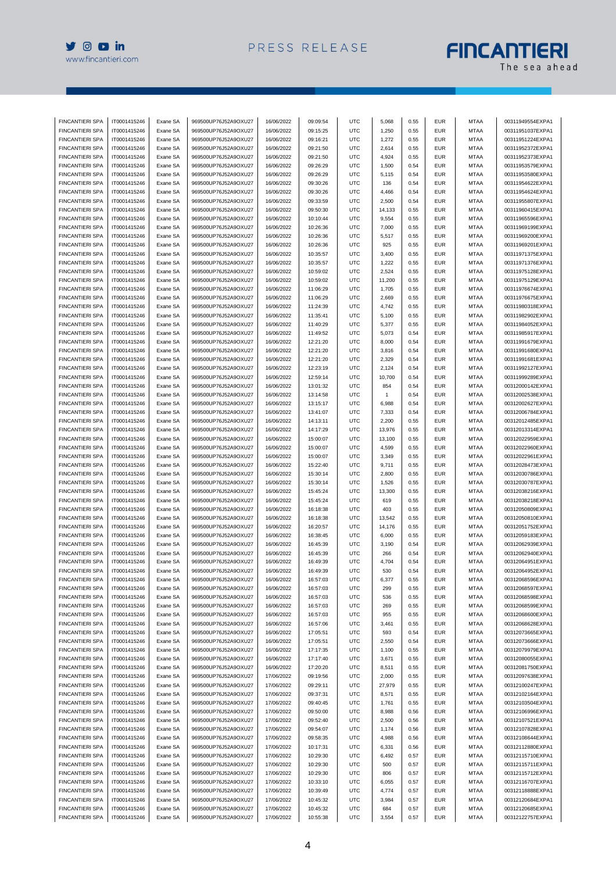

# **FINCANTIERI**

| <b>FINCANTIERI SPA</b>                           | IT0001415246                 | Exane SA | 969500UP76J52A9OXU27                         | 16/06/2022 | 09:09:54 | UTC        | 5,068        | 0.55 | <b>EUR</b>               | <b>MTAA</b>                | 00311949554EXPA1 |
|--------------------------------------------------|------------------------------|----------|----------------------------------------------|------------|----------|------------|--------------|------|--------------------------|----------------------------|------------------|
| <b>FINCANTIERI SPA</b>                           | IT0001415246                 | Exane SA | 969500UP76J52A9OXU27                         | 16/06/2022 | 09:15:25 | UTC        | 1,250        | 0.55 | <b>EUR</b>               | <b>MTAA</b>                | 00311951037EXPA1 |
| <b>FINCANTIERI SPA</b>                           | IT0001415246                 | Exane SA | 969500UP76J52A9OXU27                         | 16/06/2022 | 09:16:21 | UTC        | 1,272        | 0.55 | <b>EUR</b>               | <b>MTAA</b>                | 00311951224EXPA1 |
| <b>FINCANTIERI SPA</b>                           | IT0001415246                 | Exane SA | 969500UP76J52A9OXU27                         | 16/06/2022 | 09:21:50 | UTC        | 2,614        | 0.55 | <b>EUR</b>               | MTAA                       | 00311952372EXPA1 |
| <b>FINCANTIERI SPA</b>                           | IT0001415246                 | Exane SA | 969500UP76J52A9OXU27                         | 16/06/2022 | 09:21:50 | UTC        | 4,924        | 0.55 | <b>EUR</b>               | <b>MTAA</b>                | 00311952373EXPA1 |
| <b>FINCANTIERI SPA</b>                           | IT0001415246                 | Exane SA | 969500UP76J52A9OXU27                         | 16/06/2022 | 09:26:29 | UTC        | 1,500        | 0.54 | <b>EUR</b>               | <b>MTAA</b>                | 00311953579EXPA1 |
| <b>FINCANTIERI SPA</b>                           | IT0001415246                 | Exane SA | 969500UP76J52A9OXU27                         | 16/06/2022 | 09:26:29 | UTC        | 5,115        | 0.54 | <b>EUR</b>               | MTAA                       | 00311953580EXPA1 |
| <b>FINCANTIERI SPA</b>                           | IT0001415246                 | Exane SA | 969500UP76J52A9OXU27                         | 16/06/2022 | 09:30:26 | UTC        | 136          | 0.54 | <b>EUR</b>               | <b>MTAA</b>                | 00311954622EXPA1 |
| <b>FINCANTIERI SPA</b>                           | IT0001415246                 | Exane SA | 969500UP76J52A9OXU27                         | 16/06/2022 | 09:30:26 | UTC        | 4,466        | 0.54 | <b>EUR</b>               | <b>MTAA</b>                | 00311954624EXPA1 |
| <b>FINCANTIERI SPA</b>                           | IT0001415246                 | Exane SA | 969500UP76J52A9OXU27                         | 16/06/2022 | 09:33:59 | UTC        | 2,500        | 0.54 | <b>EUR</b>               | <b>MTAA</b>                | 00311955807EXPA1 |
| <b>FINCANTIERI SPA</b>                           | IT0001415246                 | Exane SA | 969500UP76J52A9OXU27                         | 16/06/2022 | 09:50:30 | UTC        | 14,133       | 0.55 | <b>EUR</b>               | <b>MTAA</b>                | 00311960415EXPA1 |
| <b>FINCANTIERI SPA</b>                           | IT0001415246                 | Exane SA | 969500UP76J52A9OXU27                         | 16/06/2022 | 10:10:44 | UTC        | 9,554        | 0.55 | <b>EUR</b>               | <b>MTAA</b>                | 00311965596EXPA1 |
|                                                  |                              |          |                                              |            |          |            |              |      |                          |                            |                  |
| <b>FINCANTIERI SPA</b>                           | IT0001415246                 | Exane SA | 969500UP76J52A9OXU27<br>969500UP76J52A9OXU27 | 16/06/2022 | 10:26:36 | UTC        | 7,000        | 0.55 | <b>EUR</b>               | MTAA                       | 00311969199EXPA1 |
| <b>FINCANTIERI SPA</b>                           | IT0001415246                 | Exane SA |                                              | 16/06/2022 | 10:26:36 | UTC        | 5,517        | 0.55 | <b>EUR</b>               | <b>MTAA</b>                | 00311969200EXPA1 |
| <b>FINCANTIERI SPA</b>                           | IT0001415246                 | Exane SA | 969500UP76J52A9OXU27                         | 16/06/2022 | 10:26:36 | UTC        | 925          | 0.55 | <b>EUR</b>               | <b>MTAA</b>                | 00311969201EXPA1 |
| <b>FINCANTIERI SPA</b>                           | IT0001415246                 | Exane SA | 969500UP76J52A9OXU27                         | 16/06/2022 | 10:35:57 | UTC        | 3,400        | 0.55 | <b>EUR</b>               | MTAA                       | 00311971375EXPA1 |
| <b>FINCANTIERI SPA</b>                           | IT0001415246                 | Exane SA | 969500UP76J52A9OXU27                         | 16/06/2022 | 10:35:57 | UTC        | 1,222        | 0.55 | <b>EUR</b>               | <b>MTAA</b>                | 00311971376EXPA1 |
| <b>FINCANTIERI SPA</b>                           | IT0001415246                 | Exane SA | 969500UP76J52A9OXU27                         | 16/06/2022 | 10:59:02 | UTC        | 2,524        | 0.55 | <b>EUR</b>               | <b>MTAA</b>                | 00311975128EXPA1 |
| <b>FINCANTIERI SPA</b>                           | IT0001415246                 | Exane SA | 969500UP76J52A9OXU27                         | 16/06/2022 | 10:59:02 | UTC        | 11,200       | 0.55 | <b>EUR</b>               | MTAA                       | 00311975129EXPA1 |
| <b>FINCANTIERI SPA</b>                           | IT0001415246                 | Exane SA | 969500UP76J52A9OXU27                         | 16/06/2022 | 11:06:29 | UTC        | 1,705        | 0.55 | <b>EUR</b>               | <b>MTAA</b>                | 00311976674EXPA1 |
| <b>FINCANTIERI SPA</b>                           | IT0001415246                 | Exane SA | 969500UP76J52A9OXU27                         | 16/06/2022 | 11:06:29 | UTC        | 2,669        | 0.55 | <b>EUR</b>               | <b>MTAA</b>                | 00311976675EXPA1 |
| <b>FINCANTIERI SPA</b>                           | IT0001415246                 | Exane SA | 969500UP76J52A9OXU27                         | 16/06/2022 | 11:24:39 | UTC        | 4,742        | 0.55 | <b>EUR</b>               | MTAA                       | 00311980318EXPA1 |
| FINCANTIERI SPA                                  | IT0001415246                 | Exane SA | 969500UP76J52A9OXU27                         | 16/06/2022 | 11:35:41 | UTC        | 5,100        | 0.55 | <b>EUR</b>               | <b>MTAA</b>                | 00311982902EXPA1 |
| <b>FINCANTIERI SPA</b>                           | IT0001415246                 | Exane SA | 969500UP76J52A9OXU27                         | 16/06/2022 | 11:40:29 | UTC        | 5,377        | 0.55 | <b>EUR</b>               | <b>MTAA</b>                | 00311984052EXPA1 |
| <b>FINCANTIERI SPA</b>                           | IT0001415246                 | Exane SA | 969500UP76J52A9OXU27                         | 16/06/2022 | 11:49:52 | UTC        | 5,073        | 0.54 | <b>EUR</b>               | MTAA                       | 00311985917EXPA1 |
| <b>FINCANTIERI SPA</b>                           | IT0001415246                 | Exane SA | 969500UP76J52A9OXU27                         | 16/06/2022 | 12:21:20 | UTC        | 8,000        | 0.54 | <b>EUR</b>               | <b>MTAA</b>                | 00311991679EXPA1 |
| <b>FINCANTIERI SPA</b>                           | IT0001415246                 | Exane SA | 969500UP76J52A9OXU27                         | 16/06/2022 | 12:21:20 | UTC        | 3,816        | 0.54 | <b>EUR</b>               | <b>MTAA</b>                | 00311991680EXPA1 |
| <b>FINCANTIERI SPA</b>                           | IT0001415246                 | Exane SA | 969500UP76J52A9OXU27                         | 16/06/2022 | 12:21:20 | UTC        | 2,329        | 0.54 | <b>EUR</b>               | MTAA                       | 00311991681EXPA1 |
| <b>FINCANTIERI SPA</b>                           | IT0001415246                 | Exane SA | 969500UP76J52A9OXU27                         | 16/06/2022 | 12:23:19 | UTC        | 2,124        | 0.54 | <b>EUR</b>               | <b>MTAA</b>                | 00311992127EXPA1 |
| <b>FINCANTIERI SPA</b>                           | IT0001415246                 | Exane SA | 969500UP76J52A9OXU27                         | 16/06/2022 | 12:59:14 | UTC        | 10,700       | 0.54 | <b>EUR</b>               | <b>MTAA</b>                | 00311999289EXPA1 |
| <b>FINCANTIERI SPA</b>                           | IT0001415246                 | Exane SA | 969500UP76J52A9OXU27                         | 16/06/2022 | 13:01:32 | UTC        | 854          | 0.54 | <b>EUR</b>               | MTAA                       | 00312000142EXPA1 |
| <b>FINCANTIERI SPA</b>                           | IT0001415246                 | Exane SA | 969500UP76J52A9OXU27                         | 16/06/2022 | 13:14:58 | UTC        | $\mathbf{1}$ | 0.54 | <b>EUR</b>               | <b>MTAA</b>                | 00312002538EXPA1 |
| <b>FINCANTIERI SPA</b>                           | IT0001415246                 | Exane SA | 969500UP76J52A9OXU27                         | 16/06/2022 | 13:15:17 | UTC        | 6,988        | 0.54 | <b>EUR</b>               | <b>MTAA</b>                | 00312002627EXPA1 |
| <b>FINCANTIERI SPA</b>                           | IT0001415246                 | Exane SA | 969500UP76J52A9OXU27                         | 16/06/2022 | 13:41:07 | UTC        | 7,333        | 0.54 | <b>EUR</b>               | <b>MTAA</b>                | 00312006784EXPA1 |
|                                                  |                              |          |                                              |            |          | UTC        |              | 0.55 |                          |                            | 00312012485EXPA1 |
| <b>FINCANTIERI SPA</b><br><b>FINCANTIERI SPA</b> | IT0001415246<br>IT0001415246 | Exane SA | 969500UP76J52A9OXU27<br>969500UP76J52A9OXU27 | 16/06/2022 | 14:13:11 | UTC        | 2,200        | 0.55 | <b>EUR</b><br><b>EUR</b> | <b>MTAA</b><br><b>MTAA</b> |                  |
|                                                  |                              | Exane SA |                                              | 16/06/2022 | 14:17:29 |            | 13,976       |      |                          |                            | 00312013314EXPA1 |
| <b>FINCANTIERI SPA</b>                           | IT0001415246                 | Exane SA | 969500UP76J52A9OXU27                         | 16/06/2022 | 15:00:07 | UTC        | 13,100       | 0.55 | <b>EUR</b>               | MTAA                       | 00312022959EXPA1 |
| <b>FINCANTIERI SPA</b>                           | IT0001415246                 | Exane SA | 969500UP76J52A9OXU27                         | 16/06/2022 | 15:00:07 | UTC        | 4,599        | 0.55 | <b>EUR</b>               | <b>MTAA</b>                | 00312022960EXPA1 |
| <b>FINCANTIERI SPA</b>                           | IT0001415246                 | Exane SA | 969500UP76J52A9OXU27                         | 16/06/2022 | 15:00:07 | UTC        | 3,349        | 0.55 | <b>EUR</b>               | <b>MTAA</b>                | 00312022961EXPA1 |
| <b>FINCANTIERI SPA</b>                           | IT0001415246                 | Exane SA | 969500UP76J52A9OXU27                         | 16/06/2022 | 15:22:40 | UTC        | 9,711        | 0.55 | <b>EUR</b>               | MTAA                       | 00312028473EXPA1 |
| <b>FINCANTIERI SPA</b>                           | IT0001415246                 | Exane SA | 969500UP76J52A9OXU27                         | 16/06/2022 | 15:30:14 | UTC        | 2,800        | 0.55 | <b>EUR</b>               | <b>MTAA</b>                | 00312030786EXPA1 |
| <b>FINCANTIERI SPA</b>                           | IT0001415246                 | Exane SA | 969500UP76J52A9OXU27                         | 16/06/2022 | 15:30:14 | <b>UTC</b> | 1,526        | 0.55 | <b>EUR</b>               | <b>MTAA</b>                | 00312030787EXPA1 |
| <b>FINCANTIERI SPA</b>                           | IT0001415246                 | Exane SA | 969500UP76J52A9OXU27                         | 16/06/2022 | 15:45:24 | UTC        | 13,300       | 0.55 | <b>EUR</b>               | MTAA                       | 00312038216EXPA1 |
| <b>FINCANTIERI SPA</b>                           | IT0001415246                 | Exane SA | 969500UP76J52A9OXU27                         | 16/06/2022 | 15:45:24 | UTC        | 619          | 0.55 | <b>EUR</b>               | <b>MTAA</b>                | 00312038218EXPA1 |
| <b>FINCANTIERI SPA</b>                           | IT0001415246                 | Exane SA | 969500UP76J52A9OXU27                         | 16/06/2022 | 16:18:38 | UTC        | 403          | 0.55 | <b>EUR</b>               | <b>MTAA</b>                | 00312050809EXPA1 |
| <b>FINCANTIERI SPA</b>                           | IT0001415246                 | Exane SA | 969500UP76J52A9OXU27                         | 16/06/2022 | 16:18:38 | UTC        | 13,542       | 0.55 | <b>EUR</b>               | MTAA                       | 00312050810EXPA1 |
| <b>FINCANTIERI SPA</b>                           | IT0001415246                 | Exane SA | 969500UP76J52A9OXU27                         | 16/06/2022 | 16:20:57 | UTC        | 14,176       | 0.55 | <b>EUR</b>               | <b>MTAA</b>                | 00312051752EXPA1 |
| <b>FINCANTIERI SPA</b>                           | IT0001415246                 | Exane SA | 969500UP76J52A9OXU27                         | 16/06/2022 | 16:38:45 | UTC        | 6,000        | 0.55 | <b>EUR</b>               | <b>MTAA</b>                | 00312059183EXPA1 |
| <b>FINCANTIERI SPA</b>                           | IT0001415246                 | Exane SA | 969500UP76J52A9OXU27                         | 16/06/2022 | 16:45:39 | UTC        | 3,190        | 0.54 | <b>EUR</b>               | MTAA                       | 00312062939EXPA1 |
| <b>FINCANTIERI SPA</b>                           | IT0001415246                 | Exane SA | 969500UP76J52A9OXU27                         | 16/06/2022 | 16:45:39 | UTC        | 266          | 0.54 | <b>EUR</b>               | MTAA                       | 00312062940EXPA1 |
| <b>FINCANTIERI SPA</b>                           | IT0001415246                 | Exane SA | 969500UP76J52A9OXU27                         | 16/06/2022 | 16:49:39 | UTC        | 4,704        | 0.54 | <b>EUR</b>               | <b>MTAA</b>                | 00312064951EXPA1 |
| FINCANTIERI SPA                                  | IT0001415246                 | Exane SA | 969500UP76J52A9OXU27                         | 16/06/2022 | 16:49:39 | UTC        | 530          | 0.54 | <b>EUR</b>               | <b>MTAA</b>                | 00312064952EXPA1 |
| <b>FINCANTIERI SPA</b>                           | IT0001415246                 | Exane SA | 969500UP76J52A9OXU27                         | 16/06/2022 | 16:57:03 | <b>UTC</b> | 6,377        | 0.55 | <b>EUR</b>               | MTAA                       | 00312068596EXPA1 |
| <b>FINCANTIERI SPA</b>                           | IT0001415246                 | Exane SA | 969500UP76J52A9OXU27                         | 16/06/2022 | 16:57:03 | <b>UTC</b> | 299          | 0.55 | <b>EUR</b>               | <b>MTAA</b>                | 00312068597EXPA1 |
| <b>FINCANTIERI SPA</b>                           | IT0001415246                 | Exane SA | 969500UP76J52A9OXU27                         | 16/06/2022 | 16:57:03 | <b>UTC</b> | 536          | 0.55 | <b>EUR</b>               | MTAA                       | 00312068598EXPA1 |
| <b>FINCANTIERI SPA</b>                           | IT0001415246                 | Exane SA | 969500UP76J52A9OXU27                         | 16/06/2022 | 16:57:03 | <b>UTC</b> | 269          | 0.55 | <b>EUR</b>               | <b>MTAA</b>                | 00312068599EXPA1 |
| <b>FINCANTIERI SPA</b>                           | IT0001415246                 | Exane SA | 969500UP76J52A9OXU27                         | 16/06/2022 | 16:57:03 | <b>UTC</b> | 955          | 0.55 | <b>EUR</b>               | <b>MTAA</b>                | 00312068600EXPA1 |
| <b>FINCANTIERI SPA</b>                           | IT0001415246                 | Exane SA | 969500UP76J52A9OXU27                         | 16/06/2022 | 16:57:06 | <b>UTC</b> | 3,461        | 0.55 | <b>EUR</b>               | MTAA                       | 00312068628EXPA1 |
| <b>FINCANTIERI SPA</b>                           | IT0001415246                 | Exane SA | 969500UP76J52A9OXU27                         | 16/06/2022 | 17:05:51 | <b>UTC</b> | 593          | 0.54 | <b>EUR</b>               | MTAA                       | 00312073665EXPA1 |
| <b>FINCANTIERI SPA</b>                           | IT0001415246                 | Exane SA | 969500UP76J52A9OXU27                         | 16/06/2022 | 17:05:51 | <b>UTC</b> | 2,550        | 0.54 | <b>EUR</b>               | <b>MTAA</b>                | 00312073666EXPA1 |
| FINCANTIERI SPA                                  | IT0001415246                 | Exane SA | 969500UP76J52A9OXU27                         | 16/06/2022 | 17:17:35 | <b>UTC</b> | 1,100        | 0.55 | <b>EUR</b>               | MTAA                       | 00312079979EXPA1 |
| <b>FINCANTIERI SPA</b>                           | IT0001415246                 | Exane SA | 969500UP76J52A9OXU27                         | 16/06/2022 | 17:17:40 | <b>UTC</b> | 3,671        | 0.55 | <b>EUR</b>               | <b>MTAA</b>                | 00312080055EXPA1 |
| <b>FINCANTIERI SPA</b>                           | IT0001415246                 |          | 969500UP76J52A9OXU27                         | 16/06/2022 | 17:20:20 | <b>UTC</b> | 8,511        | 0.55 | <b>EUR</b>               | <b>MTAA</b>                | 00312081750EXPA1 |
| FINCANTIERI SPA                                  | IT0001415246                 | Exane SA | 969500UP76J52A9OXU27                         |            |          | <b>UTC</b> |              | 0.55 | <b>EUR</b>               |                            |                  |
| <b>FINCANTIERI SPA</b>                           |                              | Exane SA |                                              | 17/06/2022 | 09:19:56 |            | 2,000        |      |                          | MTAA                       | 00312097638EXPA1 |
|                                                  | IT0001415246                 | Exane SA | 969500UP76J52A9OXU27                         | 17/06/2022 | 09:29:11 | <b>UTC</b> | 27,979       | 0.55 | <b>EUR</b>               | <b>MTAA</b>                | 00312100247EXPA1 |
| <b>FINCANTIERI SPA</b>                           | IT0001415246                 | Exane SA | 969500UP76J52A9OXU27                         | 17/06/2022 | 09:37:31 | <b>UTC</b> | 8,571        | 0.55 | <b>EUR</b>               | <b>MTAA</b>                | 00312102164EXPA1 |
| <b>FINCANTIERI SPA</b>                           | IT0001415246                 | Exane SA | 969500UP76J52A9OXU27                         | 17/06/2022 | 09:40:45 | <b>UTC</b> | 1,761        | 0.55 | <b>EUR</b>               | MTAA                       | 00312103504EXPA1 |
| <b>FINCANTIERI SPA</b>                           | IT0001415246                 | Exane SA | 969500UP76J52A9OXU27                         | 17/06/2022 | 09:50:00 | <b>UTC</b> | 8,988        | 0.56 | <b>EUR</b>               | <b>MTAA</b>                | 00312106996EXPA1 |
| <b>FINCANTIERI SPA</b>                           | IT0001415246                 | Exane SA | 969500UP76J52A9OXU27                         | 17/06/2022 | 09:52:40 | <b>UTC</b> | 2,500        | 0.56 | <b>EUR</b>               | <b>MTAA</b>                | 00312107521EXPA1 |
| <b>FINCANTIERI SPA</b>                           | IT0001415246                 | Exane SA | 969500UP76J52A9OXU27                         | 17/06/2022 | 09:54:07 | <b>UTC</b> | 1,174        | 0.56 | <b>EUR</b>               | MTAA                       | 00312107828EXPA1 |
| <b>FINCANTIERI SPA</b>                           | IT0001415246                 | Exane SA | 969500UP76J52A9OXU27                         | 17/06/2022 | 09:58:35 | <b>UTC</b> | 4,988        | 0.56 | <b>EUR</b>               | MTAA                       | 00312108644EXPA1 |
| <b>FINCANTIERI SPA</b>                           | IT0001415246                 | Exane SA | 969500UP76J52A9OXU27                         | 17/06/2022 | 10:17:31 | UTC        | 6,331        | 0.56 | <b>EUR</b>               | <b>MTAA</b>                | 00312112880EXPA1 |
| FINCANTIERI SPA                                  | IT0001415246                 | Exane SA | 969500UP76J52A9OXU27                         | 17/06/2022 | 10:29:30 | <b>UTC</b> | 6,492        | 0.57 | <b>EUR</b>               | MTAA                       | 00312115710EXPA1 |
| <b>FINCANTIERI SPA</b>                           | IT0001415246                 | Exane SA | 969500UP76J52A9OXU27                         | 17/06/2022 | 10:29:30 | <b>UTC</b> | 500          | 0.57 | <b>EUR</b>               | <b>MTAA</b>                | 00312115711EXPA1 |
| <b>FINCANTIERI SPA</b>                           | IT0001415246                 | Exane SA | 969500UP76J52A9OXU27                         | 17/06/2022 | 10:29:30 | <b>UTC</b> | 806          | 0.57 | <b>EUR</b>               | <b>MTAA</b>                | 00312115712EXPA1 |
| FINCANTIERI SPA                                  | IT0001415246                 | Exane SA | 969500UP76J52A9OXU27                         | 17/06/2022 | 10:33:10 | <b>UTC</b> | 6,055        | 0.57 | <b>EUR</b>               | MTAA                       | 00312116707EXPA1 |
| <b>FINCANTIERI SPA</b>                           | IT0001415246                 | Exane SA | 969500UP76J52A9OXU27                         | 17/06/2022 | 10:39:49 | UTC        | 4,774        | 0.57 | <b>EUR</b>               | <b>MTAA</b>                | 00312118888EXPA1 |
| <b>FINCANTIERI SPA</b>                           | IT0001415246                 | Exane SA | 969500UP76J52A9OXU27                         | 17/06/2022 | 10:45:32 | <b>UTC</b> | 3,984        | 0.57 | <b>EUR</b>               | <b>MTAA</b>                | 00312120684EXPA1 |
| <b>FINCANTIERI SPA</b>                           | IT0001415246                 | Exane SA | 969500UP76J52A9OXU27                         | 17/06/2022 | 10:45:32 | <b>UTC</b> | 684          | 0.57 | <b>EUR</b>               | <b>MTAA</b>                | 00312120685EXPA1 |
| FINCANTIERI SPA                                  | IT0001415246                 | Exane SA | 969500UP76J52A9OXU27                         | 17/06/2022 | 10:55:38 | <b>UTC</b> | 3,554        | 0.57 | <b>EUR</b>               | <b>MTAA</b>                | 00312122757EXPA1 |
|                                                  |                              |          |                                              |            |          |            |              |      |                          |                            |                  |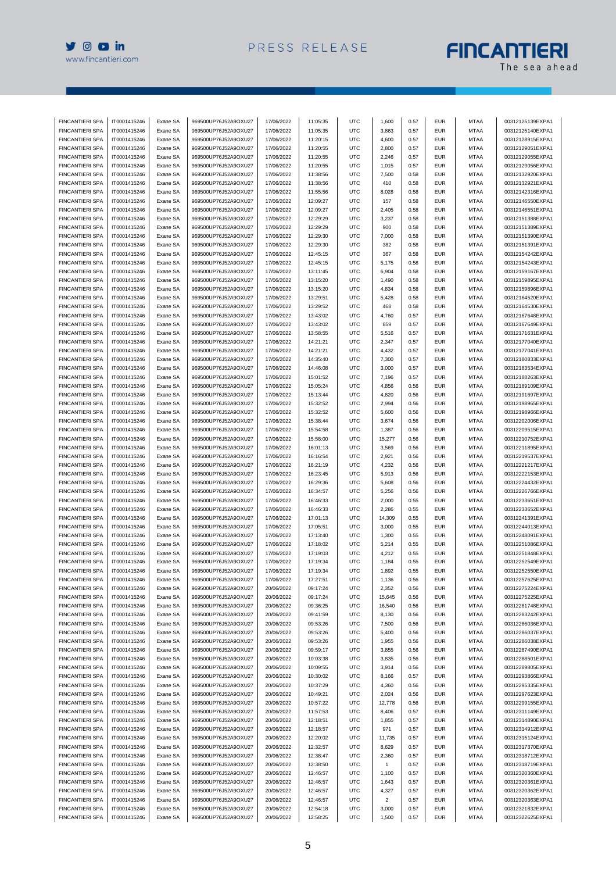

## **FINCANTIERI**

| <b>FINCANTIERI SPA</b> | IT0001415246                 | Exane SA | 969500UP76J52A9OXU27 | 17/06/2022 | 11:05:35 | <b>UTC</b> | 1,600        | 0.57 | <b>EUR</b> | <b>MTAA</b> | 00312125139EXPA1 |
|------------------------|------------------------------|----------|----------------------|------------|----------|------------|--------------|------|------------|-------------|------------------|
| <b>FINCANTIERI SPA</b> | IT0001415246                 | Exane SA | 969500UP76J52A9OXU27 | 17/06/2022 | 11:05:35 | UTC        | 3,863        | 0.57 | <b>EUR</b> | <b>MTAA</b> | 00312125140EXPA1 |
| <b>FINCANTIERI SPA</b> | IT0001415246                 | Exane SA | 969500UP76J52A9OXU27 | 17/06/2022 | 11:20:15 | UTC        | 4,600        | 0.57 | <b>EUR</b> | <b>MTAA</b> | 00312128915EXPA1 |
| <b>FINCANTIERI SPA</b> | IT0001415246                 | Exane SA | 969500UP76J52A9OXU27 | 17/06/2022 | 11:20:55 | UTC        | 2,800        | 0.57 | <b>EUR</b> | <b>MTAA</b> | 00312129051EXPA1 |
| <b>FINCANTIERI SPA</b> | IT0001415246                 | Exane SA | 969500UP76J52A9OXU27 | 17/06/2022 | 11:20:55 | UTC        | 2,246        | 0.57 | <b>EUR</b> | MTAA        | 00312129055EXPA1 |
| <b>FINCANTIERI SPA</b> | IT0001415246                 | Exane SA | 969500UP76J52A9OXU27 | 17/06/2022 | 11:20:55 | UTC        | 1,015        | 0.57 | <b>EUR</b> | MTAA        | 00312129056EXPA1 |
| <b>FINCANTIERI SPA</b> | IT0001415246                 | Exane SA | 969500UP76J52A9OXU27 | 17/06/2022 | 11:38:56 | UTC        | 7,500        | 0.58 | <b>EUR</b> | <b>MTAA</b> | 00312132920EXPA1 |
| <b>FINCANTIERI SPA</b> | IT0001415246                 | Exane SA | 969500UP76J52A9OXU27 | 17/06/2022 | 11:38:56 | <b>UTC</b> | 410          | 0.58 | <b>EUR</b> | <b>MTAA</b> | 00312132921EXPA1 |
| <b>FINCANTIERI SPA</b> | IT0001415246                 |          | 969500UP76J52A9OXU27 | 17/06/2022 |          | UTC        |              | 0.58 | <b>EUR</b> | <b>MTAA</b> |                  |
|                        |                              | Exane SA |                      |            | 11:55:56 |            | 8,028        |      |            |             | 00312142316EXPA1 |
| <b>FINCANTIERI SPA</b> | IT0001415246                 | Exane SA | 969500UP76J52A9OXU27 | 17/06/2022 | 12:09:27 | UTC        | 157          | 0.58 | <b>EUR</b> | <b>MTAA</b> | 00312146550EXPA1 |
| <b>FINCANTIERI SPA</b> | IT0001415246                 | Exane SA | 969500UP76J52A9OXU27 | 17/06/2022 | 12:09:27 | UTC        | 2,405        | 0.58 | <b>EUR</b> | MTAA        | 00312146551EXPA1 |
| <b>FINCANTIERI SPA</b> | IT0001415246                 | Exane SA | 969500UP76J52A9OXU27 | 17/06/2022 | 12:29:29 | UTC        | 3,237        | 0.58 | <b>EUR</b> | <b>MTAA</b> | 00312151388EXPA1 |
| <b>FINCANTIERI SPA</b> | IT0001415246                 | Exane SA | 969500UP76J52A9OXU27 | 17/06/2022 | 12:29:29 | <b>UTC</b> | 900          | 0.58 | <b>EUR</b> | <b>MTAA</b> | 00312151389EXPA1 |
| <b>FINCANTIERI SPA</b> | IT0001415246                 | Exane SA | 969500UP76J52A9OXU27 | 17/06/2022 | 12:29:30 | UTC        | 7,000        | 0.58 | <b>EUR</b> | <b>MTAA</b> | 00312151390EXPA1 |
| <b>FINCANTIERI SPA</b> | IT0001415246                 | Exane SA | 969500UP76J52A9OXU27 | 17/06/2022 | 12:29:30 | UTC        | 382          | 0.58 | <b>EUR</b> | <b>MTAA</b> | 00312151391EXPA1 |
| <b>FINCANTIERI SPA</b> | IT0001415246                 | Exane SA | 969500UP76J52A9OXU27 | 17/06/2022 | 12:45:15 | UTC        | 367          | 0.58 | <b>EUR</b> | <b>MTAA</b> | 00312154242EXPA1 |
| <b>FINCANTIERI SPA</b> | IT0001415246                 | Exane SA | 969500UP76J52A9OXU27 | 17/06/2022 | 12:45:15 | UTC        | 5,175        | 0.58 | <b>EUR</b> | <b>MTAA</b> | 00312154243EXPA1 |
| <b>FINCANTIERI SPA</b> | IT0001415246                 | Exane SA | 969500UP76J52A9OXU27 | 17/06/2022 | 13:11:45 | UTC        | 6,904        | 0.58 | <b>EUR</b> | MTAA        | 00312159167EXPA1 |
| <b>FINCANTIERI SPA</b> | IT0001415246                 | Exane SA | 969500UP76J52A9OXU27 | 17/06/2022 | 13:15:20 | UTC        | 1,490        | 0.58 | <b>EUR</b> | <b>MTAA</b> | 00312159895EXPA1 |
| <b>FINCANTIERI SPA</b> | IT0001415246                 | Exane SA | 969500UP76J52A9OXU27 | 17/06/2022 | 13:15:20 | <b>UTC</b> | 4,834        | 0.58 | <b>EUR</b> | <b>MTAA</b> | 00312159896EXPA1 |
| <b>FINCANTIERI SPA</b> | IT0001415246                 | Exane SA | 969500UP76J52A9OXU27 | 17/06/2022 | 13:29:51 | UTC        | 5,428        | 0.58 | <b>EUR</b> | <b>MTAA</b> | 00312164520EXPA1 |
| <b>FINCANTIERI SPA</b> | IT0001415246                 | Exane SA | 969500UP76J52A9OXU27 | 17/06/2022 | 13:29:52 | UTC        | 468          | 0.58 | <b>EUR</b> | <b>MTAA</b> | 00312164530EXPA1 |
| <b>FINCANTIERI SPA</b> | IT0001415246                 | Exane SA | 969500UP76J52A9OXU27 | 17/06/2022 | 13:43:02 | UTC        | 4,760        | 0.57 | <b>EUR</b> | <b>MTAA</b> | 00312167648EXPA1 |
| <b>FINCANTIERI SPA</b> | IT0001415246                 | Exane SA | 969500UP76J52A9OXU27 | 17/06/2022 | 13:43:02 | UTC        | 859          | 0.57 | <b>EUR</b> | <b>MTAA</b> | 00312167649EXPA1 |
| <b>FINCANTIERI SPA</b> | IT0001415246                 | Exane SA | 969500UP76J52A9OXU27 | 17/06/2022 | 13:58:55 | UTC        | 5,516        | 0.57 | <b>EUR</b> | <b>MTAA</b> | 00312171631EXPA1 |
| <b>FINCANTIERI SPA</b> | IT0001415246                 | Exane SA | 969500UP76J52A9OXU27 | 17/06/2022 | 14:21:21 | UTC        | 2,347        | 0.57 | <b>EUR</b> | <b>MTAA</b> | 00312177040EXPA1 |
| <b>FINCANTIERI SPA</b> | IT0001415246                 | Exane SA | 969500UP76J52A9OXU27 | 17/06/2022 | 14:21:21 | UTC        | 4,432        | 0.57 | <b>EUR</b> | <b>MTAA</b> | 00312177041EXPA1 |
| <b>FINCANTIERI SPA</b> | IT0001415246                 | Exane SA | 969500UP76J52A9OXU27 | 17/06/2022 | 14:35:40 | UTC        | 7,300        | 0.57 | <b>EUR</b> | <b>MTAA</b> | 00312180833EXPA1 |
| <b>FINCANTIERI SPA</b> | IT0001415246                 | Exane SA | 969500UP76J52A9OXU27 | 17/06/2022 | 14:46:08 | UTC        | 3,000        | 0.57 | <b>EUR</b> | <b>MTAA</b> | 00312183534EXPA1 |
| <b>FINCANTIERI SPA</b> | IT0001415246                 | Exane SA | 969500UP76J52A9OXU27 | 17/06/2022 | 15:01:52 | UTC        | 7,196        | 0.57 | <b>EUR</b> | <b>MTAA</b> | 00312188263EXPA1 |
| <b>FINCANTIERI SPA</b> | IT0001415246                 | Exane SA | 969500UP76J52A9OXU27 | 17/06/2022 | 15:05:24 | UTC        | 4,856        | 0.56 | <b>EUR</b> | <b>MTAA</b> | 00312189109EXPA1 |
| <b>FINCANTIERI SPA</b> | IT0001415246                 | Exane SA | 969500UP76J52A9OXU27 | 17/06/2022 | 15:13:44 | <b>UTC</b> | 4,820        | 0.56 | <b>EUR</b> | <b>MTAA</b> | 00312191697EXPA1 |
| <b>FINCANTIERI SPA</b> | IT0001415246                 | Exane SA | 969500UP76J52A9OXU27 | 17/06/2022 | 15:32:52 | UTC        | 2,994        | 0.56 | <b>EUR</b> | <b>MTAA</b> | 00312198965EXPA1 |
| <b>FINCANTIERI SPA</b> | IT0001415246                 |          | 969500UP76J52A9OXU27 | 17/06/2022 | 15:32:52 | UTC        |              | 0.56 | <b>EUR</b> | <b>MTAA</b> | 00312198966EXPA1 |
|                        |                              | Exane SA |                      |            |          |            | 5,600        |      |            |             |                  |
| <b>FINCANTIERI SPA</b> | IT0001415246                 | Exane SA | 969500UP76J52A9OXU27 | 17/06/2022 | 15:38:44 | UTC        | 3,674        | 0.56 | <b>EUR</b> | <b>MTAA</b> | 00312202006EXPA1 |
| <b>FINCANTIERI SPA</b> | IT0001415246                 | Exane SA | 969500UP76J52A9OXU27 | 17/06/2022 | 15:54:58 | UTC        | 1,387        | 0.56 | <b>EUR</b> | <b>MTAA</b> | 00312209515EXPA1 |
| <b>FINCANTIERI SPA</b> | IT0001415246                 | Exane SA | 969500UP76J52A9OXU27 | 17/06/2022 | 15:58:00 | <b>UTC</b> | 15,277       | 0.56 | <b>EUR</b> | <b>MTAA</b> | 00312210752EXPA1 |
| <b>FINCANTIERI SPA</b> | IT0001415246                 | Exane SA | 969500UP76J52A9OXU27 | 17/06/2022 | 16:01:13 | UTC        | 3,569        | 0.56 | <b>EUR</b> | <b>MTAA</b> | 00312211895EXPA1 |
| <b>FINCANTIERI SPA</b> | IT0001415246                 | Exane SA | 969500UP76J52A9OXU27 | 17/06/2022 | 16:16:54 | UTC        | 2,921        | 0.56 | <b>EUR</b> | <b>MTAA</b> | 00312219537EXPA1 |
| <b>FINCANTIERI SPA</b> | IT0001415246                 | Exane SA | 969500UP76J52A9OXU27 | 17/06/2022 | 16:21:19 | UTC        | 4,232        | 0.56 | <b>EUR</b> | <b>MTAA</b> | 00312221217EXPA1 |
| <b>FINCANTIERI SPA</b> | IT0001415246                 | Exane SA | 969500UP76J52A9OXU27 | 17/06/2022 | 16:23:45 | UTC        | 5,913        | 0.56 | <b>EUR</b> | <b>MTAA</b> | 00312222153EXPA1 |
| <b>FINCANTIERI SPA</b> | IT0001415246                 | Exane SA | 969500UP76J52A9OXU27 | 17/06/2022 | 16:29:36 | UTC        | 5,608        | 0.56 | <b>EUR</b> | MTAA        | 00312224432EXPA1 |
| <b>FINCANTIERI SPA</b> | IT0001415246                 | Exane SA | 969500UP76J52A9OXU27 | 17/06/2022 | 16:34:57 | UTC        | 5,256        | 0.56 | <b>EUR</b> | <b>MTAA</b> | 00312226766EXPA1 |
| <b>FINCANTIERI SPA</b> | IT0001415246                 | Exane SA | 969500UP76J52A9OXU27 | 17/06/2022 | 16:46:33 | <b>UTC</b> | 2,000        | 0.55 | <b>EUR</b> | <b>MTAA</b> | 00312233651EXPA1 |
| <b>FINCANTIERI SPA</b> | IT0001415246                 | Exane SA | 969500UP76J52A9OXU27 | 17/06/2022 | 16:46:33 | UTC        | 2,286        | 0.55 | <b>EUR</b> | <b>MTAA</b> | 00312233652EXPA1 |
| <b>FINCANTIERI SPA</b> | IT0001415246                 | Exane SA | 969500UP76J52A9OXU27 | 17/06/2022 | 17:01:13 | UTC        | 14,309       | 0.55 | <b>EUR</b> | <b>MTAA</b> | 00312241391EXPA1 |
| <b>FINCANTIERI SPA</b> | IT0001415246                 | Exane SA | 969500UP76J52A9OXU27 | 17/06/2022 | 17:05:51 | UTC        | 3,000        | 0.55 | <b>EUR</b> | <b>MTAA</b> | 00312244013EXPA1 |
| <b>FINCANTIERI SPA</b> | IT0001415246                 | Exane SA | 969500UP76J52A9OXU27 | 17/06/2022 | 17:13:40 | UTC        | 1,300        | 0.55 | <b>EUR</b> | MTAA        | 00312248091EXPA1 |
| <b>FINCANTIERI SPA</b> | IT0001415246                 | Exane SA | 969500UP76J52A9OXU27 | 17/06/2022 | 17:18:02 | UTC        | 5,214        | 0.55 | <b>EUR</b> | <b>MTAA</b> | 00312251086EXPA1 |
| <b>FINCANTIERI SPA</b> | IT0001415246                 | Exane SA | 969500UP76J52A9OXU27 | 17/06/2022 | 17:19:03 | UTC        | 4,212        | 0.55 | <b>EUR</b> | <b>MTAA</b> | 00312251848EXPA1 |
| <b>FINCANTIERI SPA</b> | IT0001415246                 | Exane SA | 969500UP76J52A9OXU27 | 17/06/2022 | 17:19:34 | UTC        | 1,184        | 0.55 | <b>EUR</b> | <b>MTAA</b> | 00312252549EXPA1 |
| FINCANTIERI SPA        | IT0001415246                 | Exane SA | 969500UP76J52A9OXU27 | 17/06/2022 | 17:19:34 | UTC        | 1,892        | 0.55 | EUR        | MIAA        | 00312252550EXPA1 |
| <b>FINCANTIERI SPA</b> | IT0001415246                 | Exane SA | 969500UP76J52A9OXU27 | 17/06/2022 | 17:27:51 | <b>UTC</b> | 1,136        | 0.56 | <b>EUR</b> | <b>MTAA</b> | 00312257625EXPA1 |
| <b>FINCANTIERI SPA</b> | IT0001415246                 | Exane SA | 969500UP76J52A9OXU27 | 20/06/2022 | 09:17:24 | <b>UTC</b> | 2,352        | 0.56 | EUR        | MTAA        | 00312275224EXPA1 |
| <b>FINCANTIERI SPA</b> | IT0001415246                 | Exane SA | 969500UP76J52A9OXU27 | 20/06/2022 | 09:17:24 | <b>UTC</b> | 15,645       | 0.56 | EUR        | <b>MTAA</b> | 00312275225EXPA1 |
| <b>FINCANTIERI SPA</b> | IT0001415246                 | Exane SA | 969500UP76J52A9OXU27 | 20/06/2022 | 09:36:25 | <b>UTC</b> | 16,540       | 0.56 | <b>EUR</b> | <b>MTAA</b> | 00312281748EXPA1 |
| <b>FINCANTIERI SPA</b> | IT0001415246                 | Exane SA | 969500UP76J52A9OXU27 | 20/06/2022 | 09:41:59 | <b>UTC</b> | 8,130        | 0.56 | EUR        | <b>MTAA</b> | 00312283242EXPA1 |
| <b>FINCANTIERI SPA</b> | IT0001415246                 | Exane SA | 969500UP76J52A9OXU27 | 20/06/2022 | 09:53:26 | <b>UTC</b> | 7,500        | 0.56 | <b>EUR</b> | <b>MTAA</b> | 00312286036EXPA1 |
| <b>FINCANTIERI SPA</b> | IT0001415246                 | Exane SA | 969500UP76J52A9OXU27 | 20/06/2022 | 09:53:26 | <b>UTC</b> | 5,400        | 0.56 | <b>EUR</b> | <b>MTAA</b> | 00312286037EXPA1 |
| <b>FINCANTIERI SPA</b> | IT0001415246                 | Exane SA | 969500UP76J52A9OXU27 | 20/06/2022 | 09:53:26 | <b>UTC</b> | 1,955        | 0.56 | EUR        | <b>MTAA</b> | 00312286038EXPA1 |
| <b>FINCANTIERI SPA</b> | IT0001415246                 | Exane SA | 969500UP76J52A9OXU27 | 20/06/2022 | 09:59:17 | <b>UTC</b> | 3,855        | 0.56 | EUR        | <b>MTAA</b> | 00312287490EXPA1 |
| <b>FINCANTIERI SPA</b> | IT0001415246                 | Exane SA | 969500UP76J52A9OXU27 | 20/06/2022 | 10:03:38 | <b>UTC</b> | 3,835        | 0.56 | <b>EUR</b> | <b>MTAA</b> | 00312288501EXPA1 |
|                        |                              |          |                      |            |          |            |              |      |            |             |                  |
| <b>FINCANTIERI SPA</b> | IT0001415246<br>IT0001415246 | Exane SA | 969500UP76J52A9OXU27 | 20/06/2022 | 10:09:55 | <b>UTC</b> | 3,914        | 0.56 | EUR        | MTAA        | 00312289805EXPA1 |
| <b>FINCANTIERI SPA</b> |                              | Exane SA | 969500UP76J52A9OXU27 | 20/06/2022 | 10:30:02 | <b>UTC</b> | 8,166        | 0.57 | <b>EUR</b> | <b>MTAA</b> | 00312293866EXPA1 |
| <b>FINCANTIERI SPA</b> | IT0001415246                 | Exane SA | 969500UP76J52A9OXU27 | 20/06/2022 | 10:37:29 | <b>UTC</b> | 4,360        | 0.56 | <b>EUR</b> | <b>MTAA</b> | 00312295335EXPA1 |
| <b>FINCANTIERI SPA</b> | IT0001415246                 | Exane SA | 969500UP76J52A9OXU27 | 20/06/2022 | 10:49:21 | <b>UTC</b> | 2,024        | 0.56 | <b>EUR</b> | MTAA        | 00312297623EXPA1 |
| <b>FINCANTIERI SPA</b> | IT0001415246                 | Exane SA | 969500UP76J52A9OXU27 | 20/06/2022 | 10:57:22 | <b>UTC</b> | 12,778       | 0.56 | <b>EUR</b> | <b>MTAA</b> | 00312299155EXPA1 |
| <b>FINCANTIERI SPA</b> | IT0001415246                 | Exane SA | 969500UP76J52A9OXU27 | 20/06/2022 | 11:57:53 | <b>UTC</b> | 8,406        | 0.57 | <b>EUR</b> | <b>MTAA</b> | 00312311149EXPA1 |
| <b>FINCANTIERI SPA</b> | IT0001415246                 | Exane SA | 969500UP76J52A9OXU27 | 20/06/2022 | 12:18:51 | <b>UTC</b> | 1,855        | 0.57 | EUR        | MTAA        | 00312314890EXPA1 |
| <b>FINCANTIERI SPA</b> | IT0001415246                 | Exane SA | 969500UP76J52A9OXU27 | 20/06/2022 | 12:18:57 | <b>UTC</b> | 971          | 0.57 | <b>EUR</b> | <b>MTAA</b> | 00312314912EXPA1 |
| <b>FINCANTIERI SPA</b> | IT0001415246                 | Exane SA | 969500UP76J52A9OXU27 | 20/06/2022 | 12:20:02 | <b>UTC</b> | 11,735       | 0.57 | <b>EUR</b> | <b>MTAA</b> | 00312315124EXPA1 |
| <b>FINCANTIERI SPA</b> | IT0001415246                 | Exane SA | 969500UP76J52A9OXU27 | 20/06/2022 | 12:32:57 | <b>UTC</b> | 8,629        | 0.57 | EUR        | <b>MTAA</b> | 00312317370EXPA1 |
| <b>FINCANTIERI SPA</b> | IT0001415246                 | Exane SA | 969500UP76J52A9OXU27 | 20/06/2022 | 12:38:47 | <b>UTC</b> | 2,360        | 0.57 | EUR        | <b>MTAA</b> | 00312318712EXPA1 |
| <b>FINCANTIERI SPA</b> | IT0001415246                 | Exane SA | 969500UP76J52A9OXU27 | 20/06/2022 | 12:38:50 | <b>UTC</b> | $\mathbf{1}$ | 0.57 | <b>EUR</b> | <b>MTAA</b> | 00312318719EXPA1 |
| <b>FINCANTIERI SPA</b> | IT0001415246                 | Exane SA | 969500UP76J52A9OXU27 | 20/06/2022 | 12:46:57 | UTC        | 1,100        | 0.57 | EUR        | MTAA        | 00312320360EXPA1 |
| <b>FINCANTIERI SPA</b> | IT0001415246                 | Exane SA | 969500UP76J52A9OXU27 | 20/06/2022 | 12:46:57 | <b>UTC</b> | 1,643        | 0.57 | <b>EUR</b> | <b>MTAA</b> | 00312320361EXPA1 |
| <b>FINCANTIERI SPA</b> | IT0001415246                 | Exane SA | 969500UP76J52A9OXU27 | 20/06/2022 | 12:46:57 | <b>UTC</b> | 4,327        | 0.57 | <b>EUR</b> | <b>MTAA</b> | 00312320362EXPA1 |
| <b>FINCANTIERI SPA</b> | IT0001415246                 | Exane SA | 969500UP76J52A9OXU27 | 20/06/2022 | 12:46:57 | <b>UTC</b> | $\sqrt{2}$   | 0.57 | <b>EUR</b> | MTAA        | 00312320363EXPA1 |
| <b>FINCANTIERI SPA</b> | IT0001415246                 | Exane SA | 969500UP76J52A9OXU27 | 20/06/2022 | 12:54:18 | UTC        | 3,000        | 0.57 | <b>EUR</b> | <b>MTAA</b> | 00312321832EXPA1 |
| FINCANTIERI SPA        | IT0001415246                 | Exane SA | 969500UP76J52A9OXU27 | 20/06/2022 | 12:58:25 | <b>UTC</b> | 1,500        | 0.57 | EUR        | <b>MTAA</b> | 00312322625EXPA1 |
|                        |                              |          |                      |            |          |            |              |      |            |             |                  |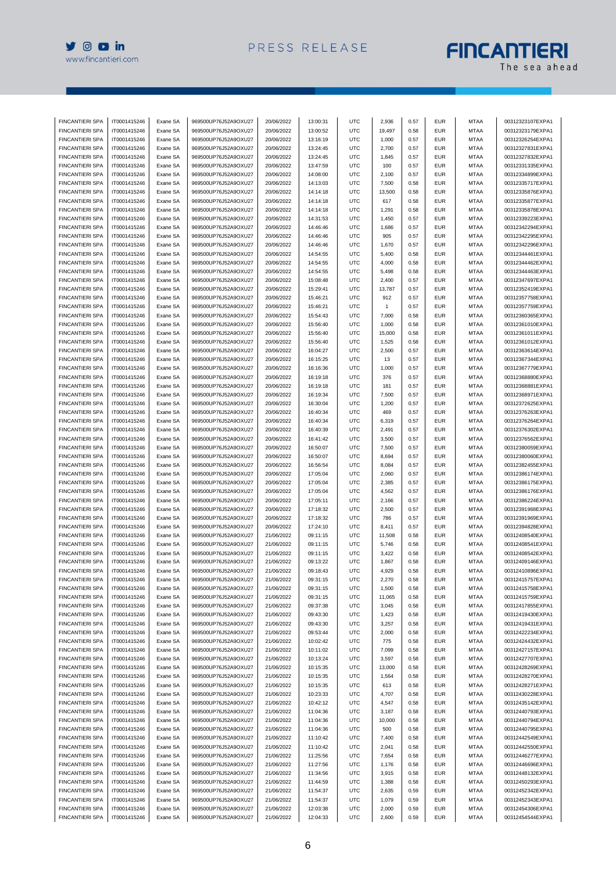

## **FINCANTIERI**

| <b>FINCANTIERI SPA</b> | IT0001415246 | Exane SA | 969500UP76J52A9OXU27    | 20/06/2022 | 13:00:31 | UTC        | 2,936        | 0.57 | <b>EUR</b> | <b>MTAA</b> | 00312323107EXPA1 |
|------------------------|--------------|----------|-------------------------|------------|----------|------------|--------------|------|------------|-------------|------------------|
| <b>FINCANTIERI SPA</b> | IT0001415246 | Exane SA | 969500UP76J52A9OXU27    | 20/06/2022 | 13:00:52 | <b>UTC</b> | 19,497       | 0.58 | <b>EUR</b> | <b>MTAA</b> | 00312323179EXPA1 |
| <b>FINCANTIERI SPA</b> | IT0001415246 | Exane SA | 969500UP76J52A9OXU27    | 20/06/2022 | 13:16:19 | <b>UTC</b> | 1,000        | 0.57 | <b>EUR</b> | <b>MTAA</b> | 00312326254EXPA1 |
| <b>FINCANTIERI SPA</b> | IT0001415246 | Exane SA | 969500UP76J52A9OXU27    | 20/06/2022 | 13:24:45 | <b>UTC</b> | 2,700        | 0.57 | <b>EUR</b> | <b>MTAA</b> | 00312327831EXPA1 |
| <b>FINCANTIERI SPA</b> | IT0001415246 | Exane SA | 969500UP76J52A9OXU27    | 20/06/2022 | 13:24:45 | <b>UTC</b> | 1,845        | 0.57 | <b>EUR</b> | MTAA        | 00312327832EXPA1 |
| <b>FINCANTIERI SPA</b> | IT0001415246 | Exane SA | 969500UP76J52A9OXU27    | 20/06/2022 | 13:47:59 | <b>UTC</b> | 100          | 0.57 | <b>EUR</b> | <b>MTAA</b> | 00312331335EXPA1 |
| <b>FINCANTIERI SPA</b> | IT0001415246 | Exane SA | 969500UP76J52A9OXU27    | 20/06/2022 | 14:08:00 | <b>UTC</b> | 2,100        | 0.57 | <b>EUR</b> | <b>MTAA</b> | 00312334899EXPA1 |
| <b>FINCANTIERI SPA</b> | IT0001415246 | Exane SA | 969500UP76J52A9OXU27    | 20/06/2022 | 14:13:03 | <b>UTC</b> | 7,500        | 0.58 | <b>EUR</b> | <b>MTAA</b> | 00312335717EXPA1 |
| FINCANTIERI SPA        | IT0001415246 | Exane SA | 969500UP76J52A9OXU27    | 20/06/2022 | 14:14:18 | UTC        | 13,500       | 0.58 | <b>EUR</b> | <b>MTAA</b> | 00312335876EXPA1 |
| <b>FINCANTIERI SPA</b> | IT0001415246 | Exane SA | 969500UP76J52A9OXU27    | 20/06/2022 | 14:14:18 | <b>UTC</b> | 617          | 0.58 | <b>EUR</b> | <b>MTAA</b> | 00312335877EXPA1 |
| <b>FINCANTIERI SPA</b> | IT0001415246 | Exane SA | 969500UP76J52A9OXU27    | 20/06/2022 | 14:14:18 | <b>UTC</b> | 1,291        | 0.58 | <b>EUR</b> | MTAA        | 00312335878EXPA1 |
| <b>FINCANTIERI SPA</b> | IT0001415246 | Exane SA | 969500UP76J52A9OXU27    | 20/06/2022 | 14:31:53 | <b>UTC</b> | 1,450        | 0.57 | <b>EUR</b> | <b>MTAA</b> | 00312339223EXPA1 |
| <b>FINCANTIERI SPA</b> | IT0001415246 | Exane SA | 969500UP76J52A9OXU27    | 20/06/2022 | 14:46:46 | <b>UTC</b> | 1,686        | 0.57 | <b>EUR</b> | <b>MTAA</b> | 00312342294EXPA1 |
|                        |              |          | 969500UP76J52A9OXU27    |            |          |            |              |      |            |             | 00312342295EXPA1 |
| <b>FINCANTIERI SPA</b> | IT0001415246 | Exane SA |                         | 20/06/2022 | 14:46:46 | <b>UTC</b> | 905          | 0.57 | <b>EUR</b> | <b>MTAA</b> |                  |
| <b>FINCANTIERI SPA</b> | IT0001415246 | Exane SA | 969500UP76J52A9OXU27    | 20/06/2022 | 14:46:46 | <b>UTC</b> | 1,670        | 0.57 | <b>EUR</b> | <b>MTAA</b> | 00312342296EXPA1 |
| <b>FINCANTIERI SPA</b> | IT0001415246 | Exane SA | 969500UP76J52A9OXU27    | 20/06/2022 | 14:54:55 | <b>UTC</b> | 5,400        | 0.58 | <b>EUR</b> | <b>MTAA</b> | 00312344461EXPA1 |
| <b>FINCANTIERI SPA</b> | IT0001415246 | Exane SA | 969500UP76J52A9OXU27    | 20/06/2022 | 14:54:55 | <b>UTC</b> | 4,000        | 0.58 | <b>EUR</b> | <b>MTAA</b> | 00312344462EXPA1 |
| <b>FINCANTIERI SPA</b> | IT0001415246 | Exane SA | 969500UP76J52A9OXU27    | 20/06/2022 | 14:54:55 | <b>UTC</b> | 5,498        | 0.58 | <b>EUR</b> | <b>MTAA</b> | 00312344463EXPA1 |
| <b>FINCANTIERI SPA</b> | IT0001415246 | Exane SA | 969500UP76J52A9OXU27    | 20/06/2022 | 15:08:48 | <b>UTC</b> | 2,400        | 0.57 | <b>EUR</b> | <b>MTAA</b> | 00312347697EXPA1 |
| <b>FINCANTIERI SPA</b> | IT0001415246 | Exane SA | 969500UP76J52A9OXU27    | 20/06/2022 | 15:29:41 | <b>UTC</b> | 13,787       | 0.57 | <b>EUR</b> | <b>MTAA</b> | 00312352419EXPA1 |
| FINCANTIERI SPA        | IT0001415246 | Exane SA | 969500UP76J52A9OXU27    | 20/06/2022 | 15:46:21 | UTC        | 912          | 0.57 | <b>EUR</b> | <b>MTAA</b> | 00312357758EXPA1 |
| <b>FINCANTIERI SPA</b> | IT0001415246 | Exane SA | 969500UP76J52A9OXU27    | 20/06/2022 | 15:46:21 | <b>UTC</b> | $\mathbf{1}$ | 0.57 | <b>EUR</b> | <b>MTAA</b> | 00312357759EXPA1 |
| <b>FINCANTIERI SPA</b> | IT0001415246 | Exane SA | 969500UP76J52A9OXU27    | 20/06/2022 | 15:54:43 | <b>UTC</b> | 7,000        | 0.58 | <b>EUR</b> | <b>MTAA</b> | 00312360365EXPA1 |
| <b>FINCANTIERI SPA</b> | IT0001415246 | Exane SA | 969500UP76J52A9OXU27    | 20/06/2022 | 15:56:40 | UTC        | 1,000        | 0.58 | <b>EUR</b> | <b>MTAA</b> | 00312361010EXPA1 |
| <b>FINCANTIERI SPA</b> | IT0001415246 | Exane SA | 969500UP76J52A9OXU27    | 20/06/2022 | 15:56:40 | <b>UTC</b> | 15,000       | 0.58 | <b>EUR</b> | <b>MTAA</b> | 00312361011EXPA1 |
| <b>FINCANTIERI SPA</b> | IT0001415246 | Exane SA | 969500UP76J52A9OXU27    | 20/06/2022 | 15:56:40 | <b>UTC</b> | 1,525        | 0.58 | <b>EUR</b> | <b>MTAA</b> | 00312361012EXPA1 |
| <b>FINCANTIERI SPA</b> | IT0001415246 | Exane SA | 969500UP76J52A9OXU27    | 20/06/2022 | 16:04:27 | <b>UTC</b> | 2,500        | 0.57 | <b>EUR</b> | <b>MTAA</b> | 00312363614EXPA1 |
| <b>FINCANTIERI SPA</b> | IT0001415246 | Exane SA | 969500UP76J52A9OXU27    | 20/06/2022 | 16:15:25 | <b>UTC</b> | 13           | 0.57 | <b>EUR</b> | <b>MTAA</b> | 00312367344EXPA1 |
| <b>FINCANTIERI SPA</b> | IT0001415246 | Exane SA | 969500UP76J52A9OXU27    | 20/06/2022 | 16:16:36 | <b>UTC</b> | 1,000        | 0.57 | <b>EUR</b> | <b>MTAA</b> | 00312367779EXPA1 |
| <b>FINCANTIERI SPA</b> | IT0001415246 | Exane SA | 969500UP76J52A9OXU27    | 20/06/2022 | 16:19:18 | <b>UTC</b> | 376          | 0.57 | <b>EUR</b> | <b>MTAA</b> | 00312368880EXPA1 |
| <b>FINCANTIERI SPA</b> | IT0001415246 | Exane SA | 969500UP76J52A9OXU27    | 20/06/2022 | 16:19:18 | <b>UTC</b> | 181          | 0.57 | <b>EUR</b> | <b>MTAA</b> | 00312368881EXPA1 |
| <b>FINCANTIERI SPA</b> | IT0001415246 | Exane SA | 969500UP76J52A9OXU27    | 20/06/2022 | 16:19:34 | <b>UTC</b> | 7,500        | 0.57 | <b>EUR</b> | <b>MTAA</b> | 00312368971EXPA1 |
| <b>FINCANTIERI SPA</b> | IT0001415246 | Exane SA | 969500UP76J52A9OXU27    | 20/06/2022 | 16:30:04 | <b>UTC</b> | 1,200        | 0.57 | <b>EUR</b> | <b>MTAA</b> | 00312372625EXPA1 |
| <b>FINCANTIERI SPA</b> | IT0001415246 | Exane SA | 969500UP76J52A9OXU27    | 20/06/2022 | 16:40:34 | <b>UTC</b> | 469          | 0.57 | <b>EUR</b> | <b>MTAA</b> | 00312376263EXPA1 |
| <b>FINCANTIERI SPA</b> | IT0001415246 | Exane SA | 969500UP76J52A9OXU27    | 20/06/2022 | 16:40:34 | <b>UTC</b> | 6,319        | 0.57 | <b>EUR</b> | <b>MTAA</b> | 00312376264EXPA1 |
| <b>FINCANTIERI SPA</b> | IT0001415246 | Exane SA | 969500UP76J52A9OXU27    | 20/06/2022 | 16:40:39 | <b>UTC</b> | 2,491        | 0.57 | <b>EUR</b> | <b>MTAA</b> | 00312376302EXPA1 |
| <b>FINCANTIERI SPA</b> | IT0001415246 |          | 969500UP76J52A9OXU27    | 20/06/2022 |          | <b>UTC</b> |              | 0.57 | <b>EUR</b> | <b>MTAA</b> | 00312376562EXPA1 |
|                        |              | Exane SA |                         |            | 16:41:42 |            | 3,500        |      |            |             |                  |
| <b>FINCANTIERI SPA</b> | IT0001415246 | Exane SA | 969500UP76J52A9OXU27    | 20/06/2022 | 16:50:07 | <b>UTC</b> | 7,500        | 0.57 | <b>EUR</b> | <b>MTAA</b> | 00312380059EXPA1 |
| <b>FINCANTIERI SPA</b> | IT0001415246 | Exane SA | 969500UP76J52A9OXU27    | 20/06/2022 | 16:50:07 | <b>UTC</b> | 8,694        | 0.57 | <b>EUR</b> | <b>MTAA</b> | 00312380060EXPA1 |
| <b>FINCANTIERI SPA</b> | IT0001415246 | Exane SA | 969500UP76J52A9OXU27    | 20/06/2022 | 16:56:54 | <b>UTC</b> | 8,084        | 0.57 | <b>EUR</b> | <b>MTAA</b> | 00312382455EXPA1 |
| <b>FINCANTIERI SPA</b> | IT0001415246 | Exane SA | 969500UP76J52A9OXU27    | 20/06/2022 | 17:05:04 | <b>UTC</b> | 2,060        | 0.57 | <b>EUR</b> | <b>MTAA</b> | 00312386174EXPA1 |
| <b>FINCANTIERI SPA</b> | IT0001415246 | Exane SA | 969500UP76J52A9OXU27    | 20/06/2022 | 17:05:04 | <b>UTC</b> | 2,385        | 0.57 | <b>EUR</b> | <b>MTAA</b> | 00312386175EXPA1 |
| <b>FINCANTIERI SPA</b> | IT0001415246 | Exane SA | 969500UP76J52A9OXU27    | 20/06/2022 | 17:05:04 | <b>UTC</b> | 4,562        | 0.57 | <b>EUR</b> | <b>MTAA</b> | 00312386176EXPA1 |
| <b>FINCANTIERI SPA</b> | IT0001415246 | Exane SA | 969500UP76J52A9OXU27    | 20/06/2022 | 17:05:11 | <b>UTC</b> | 2,166        | 0.57 | <b>EUR</b> | <b>MTAA</b> | 00312386224EXPA1 |
| FINCANTIERI SPA        | IT0001415246 | Exane SA | 969500UP76J52A9OXU27    | 20/06/2022 | 17:18:32 | <b>UTC</b> | 2,500        | 0.57 | <b>EUR</b> | MTAA        | 00312391968EXPA1 |
| <b>FINCANTIERI SPA</b> | IT0001415246 | Exane SA | 969500UP76J52A9OXU27    | 20/06/2022 | 17:18:32 | <b>UTC</b> | 786          | 0.57 | <b>EUR</b> | <b>MTAA</b> | 00312391969EXPA1 |
| <b>FINCANTIERI SPA</b> | IT0001415246 | Exane SA | 969500UP76J52A9OXU27    | 20/06/2022 | 17:24:10 | <b>UTC</b> | 8,411        | 0.57 | <b>EUR</b> | <b>MTAA</b> | 00312394828EXPA1 |
| <b>FINCANTIERI SPA</b> | IT0001415246 | Exane SA | 969500UP76J52A9OXU27    | 21/06/2022 | 09:11:15 | <b>UTC</b> | 11,508       | 0.58 | <b>EUR</b> | MTAA        | 00312408540EXPA1 |
| <b>FINCANTIERI SPA</b> | IT0001415246 | Exane SA | 969500UP76J52A9OXU27    | 21/06/2022 | 09:11:15 | <b>UTC</b> | 5,746        | 0.58 | <b>EUR</b> | <b>MTAA</b> | 00312408541EXPA1 |
| <b>FINCANTIERI SPA</b> | IT0001415246 | Exane SA | 969500UP76J52A9OXU27    | 21/06/2022 | 09:11:15 | UTC        | 3,422        | 0.58 | <b>EUR</b> | <b>MTAA</b> | 00312408542EXPA1 |
| <b>FINCANTIERI SPA</b> | IT0001415246 | Exane SA | 969500UP76J52A9OXU27    | 21/06/2022 | 09:13:22 | <b>UTC</b> | 1,867        | 0.58 | <b>EUR</b> | MTAA        | 00312409146EXPA1 |
| <b>FINCANTIERI SPA</b> | IT0001415246 | Frane SA | 969500LIP76.I52A9OXLI27 | 21/06/2022 | 09.18.43 | LITC.      | 4,929        | 0.58 | <b>EUR</b> | <b>MTAA</b> | 00312410896EXPA1 |
| <b>FINCANTIERI SPA</b> | IT0001415246 | Exane SA | 969500UP76J52A9OXU27    | 21/06/2022 | 09:31:15 | <b>UTC</b> | 2,270        | 0.58 | <b>EUR</b> | MTAA        | 00312415757EXPA1 |
| <b>FINCANTIERI SPA</b> | IT0001415246 | Exane SA | 969500UP76J52A9OXU27    | 21/06/2022 | 09:31:15 | <b>UTC</b> | 1,500        | 0.58 | <b>EUR</b> | MTAA        | 00312415758EXPA1 |
| <b>FINCANTIERI SPA</b> | IT0001415246 | Exane SA | 969500UP76J52A9OXU27    | 21/06/2022 | 09:31:15 | <b>UTC</b> | 11,065       | 0.58 | <b>EUR</b> | <b>MTAA</b> | 00312415759EXPA1 |
| <b>FINCANTIERI SPA</b> | IT0001415246 | Exane SA | 969500UP76J52A9OXU27    | 21/06/2022 | 09:37:38 | <b>UTC</b> | 3,045        | 0.58 | <b>EUR</b> | <b>MTAA</b> | 00312417855EXPA1 |
| <b>FINCANTIERI SPA</b> | IT0001415246 | Exane SA | 969500UP76J52A9OXU27    | 21/06/2022 | 09:43:30 | <b>UTC</b> | 1,423        | 0.58 | <b>EUR</b> | MTAA        | 00312419430EXPA1 |
| <b>FINCANTIERI SPA</b> | IT0001415246 | Exane SA | 969500UP76J52A9OXU27    | 21/06/2022 | 09:43:30 | <b>UTC</b> | 3,257        | 0.58 | <b>EUR</b> | <b>MTAA</b> | 00312419431EXPA1 |
| <b>FINCANTIERI SPA</b> | IT0001415246 | Exane SA | 969500UP76J52A9OXU27    | 21/06/2022 | 09:53:44 | <b>UTC</b> | 2,000        | 0.58 | <b>EUR</b> | <b>MTAA</b> | 00312422234EXPA1 |
| <b>FINCANTIERI SPA</b> | IT0001415246 | Exane SA | 969500UP76J52A9OXU27    | 21/06/2022 | 10:02:42 | <b>UTC</b> | 775          | 0.58 | <b>EUR</b> | MTAA        | 00312424432EXPA1 |
| <b>FINCANTIERI SPA</b> | IT0001415246 | Exane SA | 969500UP76J52A9OXU27    | 21/06/2022 | 10:11:02 | <b>UTC</b> | 7,099        | 0.58 | <b>EUR</b> | <b>MTAA</b> | 00312427157EXPA1 |
| <b>FINCANTIERI SPA</b> | IT0001415246 | Exane SA | 969500UP76J52A9OXU27    | 21/06/2022 | 10:13:24 | <b>UTC</b> | 3,597        | 0.58 | <b>EUR</b> | <b>MTAA</b> | 00312427707EXPA1 |
| <b>FINCANTIERI SPA</b> | IT0001415246 | Exane SA | 969500UP76J52A9OXU27    | 21/06/2022 | 10:15:35 | <b>UTC</b> | 13,000       | 0.58 | <b>EUR</b> | MTAA        | 00312428269EXPA1 |
| <b>FINCANTIERI SPA</b> | IT0001415246 |          | 969500UP76J52A9OXU27    |            | 10:15:35 | <b>UTC</b> | 1,564        | 0.58 | <b>EUR</b> | <b>MTAA</b> | 00312428270EXPA1 |
|                        |              | Exane SA | 969500UP76J52A9OXU27    | 21/06/2022 |          |            |              |      | <b>EUR</b> |             | 00312428271EXPA1 |
| <b>FINCANTIERI SPA</b> | IT0001415246 | Exane SA |                         | 21/06/2022 | 10:15:35 | <b>UTC</b> | 613          | 0.58 |            | <b>MTAA</b> |                  |
| <b>FINCANTIERI SPA</b> | IT0001415246 | Exane SA | 969500UP76J52A9OXU27    | 21/06/2022 | 10:23:33 | <b>UTC</b> | 4,707        | 0.58 | <b>EUR</b> | MTAA        | 00312430228EXPA1 |
| <b>FINCANTIERI SPA</b> | IT0001415246 | Exane SA | 969500UP76J52A9OXU27    | 21/06/2022 | 10:42:12 | <b>UTC</b> | 4,547        | 0.58 | <b>EUR</b> | <b>MTAA</b> | 00312435142EXPA1 |
| FINCANTIERI SPA        | IT0001415246 | Exane SA | 969500UP76J52A9OXU27    | 21/06/2022 | 11:04:36 | <b>UTC</b> | 3,187        | 0.58 | <b>EUR</b> | <b>MTAA</b> | 00312440793EXPA1 |
| FINCANTIERI SPA        | IT0001415246 | Exane SA | 969500UP76J52A9OXU27    | 21/06/2022 | 11:04:36 | <b>UTC</b> | 10,000       | 0.58 | <b>EUR</b> | MTAA        | 00312440794EXPA1 |
| <b>FINCANTIERI SPA</b> | IT0001415246 | Exane SA | 969500UP76J52A9OXU27    | 21/06/2022 | 11:04:36 | <b>UTC</b> | 500          | 0.58 | <b>EUR</b> | <b>MTAA</b> | 00312440795EXPA1 |
| <b>FINCANTIERI SPA</b> | IT0001415246 | Exane SA | 969500UP76J52A9OXU27    | 21/06/2022 | 11:10:42 | <b>UTC</b> | 7,400        | 0.58 | <b>EUR</b> | <b>MTAA</b> | 00312442549EXPA1 |
| <b>FINCANTIERI SPA</b> | IT0001415246 | Exane SA | 969500UP76J52A9OXU27    | 21/06/2022 | 11:10:42 | <b>UTC</b> | 2,041        | 0.58 | <b>EUR</b> | MTAA        | 00312442550EXPA1 |
| <b>FINCANTIERI SPA</b> | IT0001415246 | Exane SA | 969500UP76J52A9OXU27    | 21/06/2022 | 11:25:56 | <b>UTC</b> | 7,654        | 0.58 | <b>EUR</b> | <b>MTAA</b> | 00312446277EXPA1 |
| <b>FINCANTIERI SPA</b> | IT0001415246 | Exane SA | 969500UP76J52A9OXU27    | 21/06/2022 | 11:27:56 | <b>UTC</b> | 1,176        | 0.58 | <b>EUR</b> | <b>MTAA</b> | 00312446696EXPA1 |
| <b>FINCANTIERI SPA</b> | IT0001415246 | Exane SA | 969500UP76J52A9OXU27    | 21/06/2022 | 11:34:56 | <b>UTC</b> | 3,915        | 0.58 | <b>EUR</b> | MTAA        | 00312448132EXPA1 |
| <b>FINCANTIERI SPA</b> | IT0001415246 | Exane SA | 969500UP76J52A9OXU27    | 21/06/2022 | 11:44:59 | <b>UTC</b> | 1,388        | 0.58 | <b>EUR</b> | <b>MTAA</b> | 00312450293EXPA1 |
| <b>FINCANTIERI SPA</b> | IT0001415246 | Exane SA | 969500UP76J52A9OXU27    | 21/06/2022 | 11:54:37 | <b>UTC</b> | 2,635        | 0.59 | <b>EUR</b> | <b>MTAA</b> | 00312452342EXPA1 |
| <b>FINCANTIERI SPA</b> | IT0001415246 | Exane SA | 969500UP76J52A9OXU27    | 21/06/2022 | 11:54:37 | <b>UTC</b> | 1,079        | 0.59 | <b>EUR</b> | MTAA        | 00312452343EXPA1 |
| <b>FINCANTIERI SPA</b> | IT0001415246 | Exane SA | 969500UP76J52A9OXU27    | 21/06/2022 | 12:03:38 | <b>UTC</b> | 2,000        | 0.59 | <b>EUR</b> | <b>MTAA</b> | 00312454306EXPA1 |
| FINCANTIERI SPA        | IT0001415246 | Exane SA | 969500UP76J52A9OXU27    | 21/06/2022 | 12:04:33 | <b>UTC</b> | 2,600        | 0.59 | <b>EUR</b> | <b>MTAA</b> | 00312454544EXPA1 |
|                        |              |          |                         |            |          |            |              |      |            |             |                  |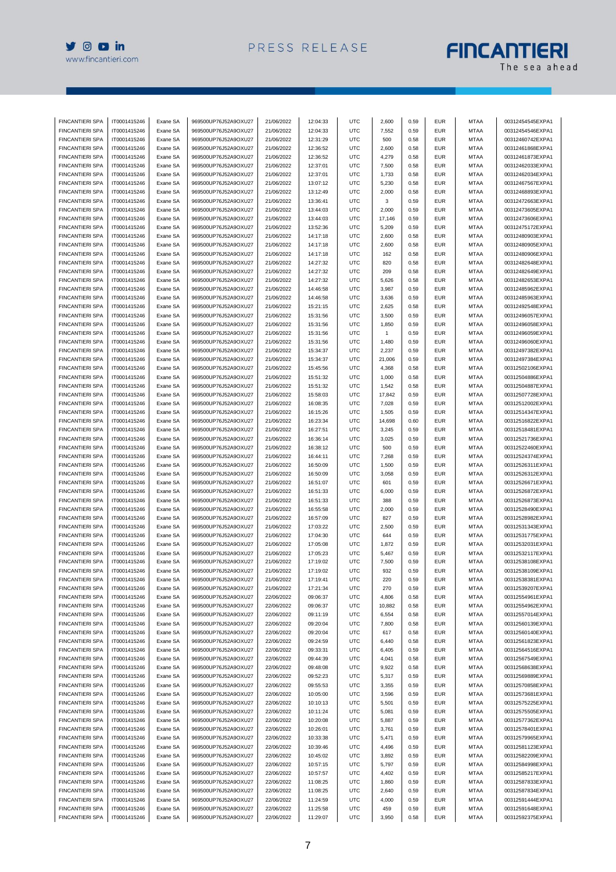

# **FINCANTIERI**

| <b>FINCANTIERI SPA</b> | IT0001415246 | Exane SA | 969500UP76J52A9OXU27 | 21/06/2022 | 12:04:33 | UTC        | 2,600        | 0.59 | <b>EUR</b> | <b>MTAA</b> | 00312454545EXPA1 |
|------------------------|--------------|----------|----------------------|------------|----------|------------|--------------|------|------------|-------------|------------------|
| <b>FINCANTIERI SPA</b> | IT0001415246 | Exane SA | 969500UP76J52A9OXU27 | 21/06/2022 | 12:04:33 | UTC        | 7,552        | 0.59 | <b>EUR</b> | <b>MTAA</b> | 00312454546EXPA1 |
| <b>FINCANTIERI SPA</b> | IT0001415246 | Exane SA | 969500UP76J52A9OXU27 | 21/06/2022 | 12:31:29 | <b>UTC</b> | 500          | 0.58 | <b>EUR</b> | <b>MTAA</b> | 00312460742EXPA1 |
| <b>FINCANTIERI SPA</b> | IT0001415246 | Exane SA | 969500UP76J52A9OXU27 | 21/06/2022 | 12:36:52 | <b>UTC</b> | 2,600        | 0.58 | <b>EUR</b> | <b>MTAA</b> | 00312461868EXPA1 |
| <b>FINCANTIERI SPA</b> | IT0001415246 | Exane SA | 969500UP76J52A9OXU27 | 21/06/2022 | 12:36:52 | UTC        | 4,279        | 0.58 | <b>EUR</b> | <b>MTAA</b> | 00312461873EXPA1 |
| <b>FINCANTIERI SPA</b> | IT0001415246 | Exane SA | 969500UP76J52A9OXU27 | 21/06/2022 | 12:37:01 | <b>UTC</b> | 7,500        | 0.58 | <b>EUR</b> | <b>MTAA</b> | 00312462033EXPA1 |
| <b>FINCANTIERI SPA</b> | IT0001415246 | Exane SA | 969500UP76J52A9OXU27 | 21/06/2022 | 12:37:01 | <b>UTC</b> | 1,733        | 0.58 | <b>EUR</b> | <b>MTAA</b> | 00312462034EXPA1 |
| <b>FINCANTIERI SPA</b> | IT0001415246 | Exane SA | 969500UP76J52A9OXU27 | 21/06/2022 | 13:07:12 | <b>UTC</b> | 5,230        | 0.58 | <b>EUR</b> | MTAA        | 00312467567EXPA1 |
| <b>FINCANTIERI SPA</b> | IT0001415246 | Exane SA | 969500UP76J52A9OXU27 | 21/06/2022 | 13:12:49 | <b>UTC</b> | 2,000        | 0.58 | <b>EUR</b> | <b>MTAA</b> | 00312468893EXPA1 |
| <b>FINCANTIERI SPA</b> | IT0001415246 | Exane SA | 969500UP76J52A9OXU27 | 21/06/2022 | 13:36:41 | <b>UTC</b> | 3            | 0.59 | <b>EUR</b> | <b>MTAA</b> | 00312472663EXPA1 |
| <b>FINCANTIERI SPA</b> | IT0001415246 | Exane SA | 969500UP76J52A9OXU27 | 21/06/2022 | 13:44:03 | UTC        | 2,000        | 0.59 | <b>EUR</b> | <b>MTAA</b> | 00312473605EXPA1 |
| <b>FINCANTIERI SPA</b> | IT0001415246 | Exane SA | 969500UP76J52A9OXU27 | 21/06/2022 | 13:44:03 | <b>UTC</b> | 17,146       | 0.59 | <b>EUR</b> | <b>MTAA</b> | 00312473606EXPA1 |
| <b>FINCANTIERI SPA</b> | IT0001415246 | Exane SA | 969500UP76J52A9OXU27 | 21/06/2022 | 13:52:36 | <b>UTC</b> | 5,209        | 0.59 | <b>EUR</b> | <b>MTAA</b> | 00312475172EXPA1 |
| <b>FINCANTIERI SPA</b> | IT0001415246 | Exane SA | 969500UP76J52A9OXU27 | 21/06/2022 | 14:17:18 | <b>UTC</b> | 2,600        | 0.58 | <b>EUR</b> | <b>MTAA</b> | 00312480903EXPA1 |
| <b>FINCANTIERI SPA</b> | IT0001415246 | Exane SA | 969500UP76J52A9OXU27 | 21/06/2022 | 14:17:18 | <b>UTC</b> | 2,600        | 0.58 | <b>EUR</b> | <b>MTAA</b> | 00312480905EXPA1 |
| <b>FINCANTIERI SPA</b> | IT0001415246 | Exane SA | 969500UP76J52A9OXU27 | 21/06/2022 | 14:17:18 | <b>UTC</b> | 162          | 0.58 | <b>EUR</b> | <b>MTAA</b> | 00312480906EXPA1 |
| <b>FINCANTIERI SPA</b> | IT0001415246 | Exane SA | 969500UP76J52A9OXU27 | 21/06/2022 | 14:27:32 | <b>UTC</b> | 820          | 0.58 | <b>EUR</b> | <b>MTAA</b> | 00312482648EXPA1 |
| <b>FINCANTIERI SPA</b> | IT0001415246 | Exane SA | 969500UP76J52A9OXU27 | 21/06/2022 | 14:27:32 | <b>UTC</b> | 209          | 0.58 | <b>EUR</b> | <b>MTAA</b> | 00312482649EXPA1 |
| <b>FINCANTIERI SPA</b> | IT0001415246 | Exane SA | 969500UP76J52A9OXU27 | 21/06/2022 | 14:27:32 | <b>UTC</b> | 5,626        | 0.58 | <b>EUR</b> | <b>MTAA</b> | 00312482653EXPA1 |
| <b>FINCANTIERI SPA</b> | IT0001415246 |          | 969500UP76J52A9OXU27 | 21/06/2022 |          | <b>UTC</b> |              | 0.59 | <b>EUR</b> |             |                  |
|                        |              | Exane SA |                      |            | 14:46:58 |            | 3,987        |      |            | MTAA        | 00312485962EXPA1 |
| <b>FINCANTIERI SPA</b> | IT0001415246 | Exane SA | 969500UP76J52A9OXU27 | 21/06/2022 | 14:46:58 | <b>UTC</b> | 3,636        | 0.59 | <b>EUR</b> | <b>MTAA</b> | 00312485963EXPA1 |
| <b>FINCANTIERI SPA</b> | IT0001415246 | Exane SA | 969500UP76J52A9OXU27 | 21/06/2022 | 15:21:15 | <b>UTC</b> | 2,625        | 0.58 | <b>EUR</b> | <b>MTAA</b> | 00312492548EXPA1 |
| <b>FINCANTIERI SPA</b> | IT0001415246 | Exane SA | 969500UP76J52A9OXU27 | 21/06/2022 | 15:31:56 | <b>UTC</b> | 3,500        | 0.59 | <b>EUR</b> | <b>MTAA</b> | 00312496057EXPA1 |
| <b>FINCANTIERI SPA</b> | IT0001415246 | Exane SA | 969500UP76J52A9OXU27 | 21/06/2022 | 15:31:56 | <b>UTC</b> | 1,850        | 0.59 | <b>EUR</b> | <b>MTAA</b> | 00312496058EXPA1 |
| <b>FINCANTIERI SPA</b> | IT0001415246 | Exane SA | 969500UP76J52A9OXU27 | 21/06/2022 | 15:31:56 | <b>UTC</b> | $\mathbf{1}$ | 0.59 | <b>EUR</b> | <b>MTAA</b> | 00312496059EXPA1 |
| <b>FINCANTIERI SPA</b> | IT0001415246 | Exane SA | 969500UP76J52A9OXU27 | 21/06/2022 | 15:31:56 | <b>UTC</b> | 1,480        | 0.59 | <b>EUR</b> | MTAA        | 00312496060EXPA1 |
| <b>FINCANTIERI SPA</b> | IT0001415246 | Exane SA | 969500UP76J52A9OXU27 | 21/06/2022 | 15:34:37 | <b>UTC</b> | 2,237        | 0.59 | <b>EUR</b> | <b>MTAA</b> | 00312497382EXPA1 |
| <b>FINCANTIERI SPA</b> | IT0001415246 | Exane SA | 969500UP76J52A9OXU27 | 21/06/2022 | 15:34:37 | <b>UTC</b> | 21,006       | 0.59 | <b>EUR</b> | <b>MTAA</b> | 00312497384EXPA1 |
| <b>FINCANTIERI SPA</b> | IT0001415246 | Exane SA | 969500UP76J52A9OXU27 | 21/06/2022 | 15:45:56 | <b>UTC</b> | 4,368        | 0.58 | <b>EUR</b> | <b>MTAA</b> | 00312502106EXPA1 |
| <b>FINCANTIERI SPA</b> | IT0001415246 | Exane SA | 969500UP76J52A9OXU27 | 21/06/2022 | 15:51:32 | <b>UTC</b> | 1,000        | 0.58 | <b>EUR</b> | <b>MTAA</b> | 00312504886EXPA1 |
| <b>FINCANTIERI SPA</b> | IT0001415246 | Exane SA | 969500UP76J52A9OXU27 | 21/06/2022 | 15:51:32 | <b>UTC</b> | 1,542        | 0.58 | <b>EUR</b> | <b>MTAA</b> | 00312504887EXPA1 |
| <b>FINCANTIERI SPA</b> | IT0001415246 | Exane SA | 969500UP76J52A9OXU27 | 21/06/2022 | 15:58:03 | <b>UTC</b> | 17,842       | 0.59 | <b>EUR</b> | MTAA        | 00312507728EXPA1 |
| <b>FINCANTIERI SPA</b> | IT0001415246 | Exane SA | 969500UP76J52A9OXU27 | 21/06/2022 | 16:08:35 | <b>UTC</b> | 7,028        | 0.59 | <b>EUR</b> | <b>MTAA</b> | 00312512002EXPA1 |
| <b>FINCANTIERI SPA</b> | IT0001415246 | Exane SA | 969500UP76J52A9OXU27 | 21/06/2022 | 16:15:26 | <b>UTC</b> | 1,505        | 0.59 | <b>EUR</b> | <b>MTAA</b> | 00312514347EXPA1 |
| <b>FINCANTIERI SPA</b> | IT0001415246 | Exane SA | 969500UP76J52A9OXU27 | 21/06/2022 | 16:23:34 | <b>UTC</b> | 14,698       | 0.60 | <b>EUR</b> | <b>MTAA</b> | 00312516822EXPA1 |
| <b>FINCANTIERI SPA</b> | IT0001415246 | Exane SA | 969500UP76J52A9OXU27 | 21/06/2022 | 16:27:51 | <b>UTC</b> | 3,245        | 0.59 | <b>EUR</b> | <b>MTAA</b> | 00312518481EXPA1 |
| <b>FINCANTIERI SPA</b> | IT0001415246 | Exane SA | 969500UP76J52A9OXU27 | 21/06/2022 | 16:36:14 | <b>UTC</b> | 3,025        | 0.59 | <b>EUR</b> | <b>MTAA</b> | 00312521736EXPA1 |
| <b>FINCANTIERI SPA</b> | IT0001415246 | Exane SA | 969500UP76J52A9OXU27 | 21/06/2022 | 16:38:12 | <b>UTC</b> | 500          | 0.59 | <b>EUR</b> | MTAA        | 00312522460EXPA1 |
| <b>FINCANTIERI SPA</b> | IT0001415246 | Exane SA | 969500UP76J52A9OXU27 | 21/06/2022 | 16:44:11 | <b>UTC</b> | 7,268        | 0.59 | <b>EUR</b> | <b>MTAA</b> | 00312524374EXPA1 |
| <b>FINCANTIERI SPA</b> | IT0001415246 | Exane SA | 969500UP76J52A9OXU27 | 21/06/2022 | 16:50:09 | <b>UTC</b> | 1,500        | 0.59 | <b>EUR</b> | <b>MTAA</b> | 00312526311EXPA1 |
| <b>FINCANTIERI SPA</b> | IT0001415246 | Exane SA | 969500UP76J52A9OXU27 | 21/06/2022 | 16:50:09 | <b>UTC</b> | 3,058        | 0.59 | <b>EUR</b> | <b>MTAA</b> | 00312526312EXPA1 |
| <b>FINCANTIERI SPA</b> | IT0001415246 | Exane SA | 969500UP76J52A9OXU27 | 21/06/2022 | 16:51:07 | <b>UTC</b> | 601          | 0.59 | <b>EUR</b> | <b>MTAA</b> | 00312526671EXPA1 |
|                        |              |          |                      |            |          |            |              |      |            |             |                  |
| <b>FINCANTIERI SPA</b> | IT0001415246 | Exane SA | 969500UP76J52A9OXU27 | 21/06/2022 | 16:51:33 | <b>UTC</b> | 6,000        | 0.59 | <b>EUR</b> | <b>MTAA</b> | 00312526872EXPA1 |
| <b>FINCANTIERI SPA</b> | IT0001415246 | Exane SA | 969500UP76J52A9OXU27 | 21/06/2022 | 16:51:33 | <b>UTC</b> | 388          | 0.59 | <b>EUR</b> | MTAA        | 00312526873EXPA1 |
| <b>FINCANTIERI SPA</b> | IT0001415246 | Exane SA | 969500UP76J52A9OXU27 | 21/06/2022 | 16:55:58 | <b>UTC</b> | 2,000        | 0.59 | <b>EUR</b> | <b>MTAA</b> | 00312528490EXPA1 |
| <b>FINCANTIERI SPA</b> | IT0001415246 | Exane SA | 969500UP76J52A9OXU27 | 21/06/2022 | 16:57:09 | <b>UTC</b> | 827          | 0.59 | <b>EUR</b> | <b>MTAA</b> | 00312528982EXPA1 |
| <b>FINCANTIERI SPA</b> | IT0001415246 | Exane SA | 969500UP76J52A9OXU27 | 21/06/2022 | 17:03:22 | <b>UTC</b> | 2,500        | 0.59 | <b>EUR</b> | <b>MTAA</b> | 00312531343EXPA1 |
| <b>FINCANTIERI SPA</b> | IT0001415246 | Exane SA | 969500UP76J52A9OXU27 | 21/06/2022 | 17:04:30 | UTC        | 644          | 0.59 | <b>EUR</b> | <b>MTAA</b> | 00312531775EXPA1 |
| <b>FINCANTIERI SPA</b> | IT0001415246 | Exane SA | 969500UP76J52A9OXU27 | 21/06/2022 | 17:05:08 | <b>UTC</b> | 1,872        | 0.59 | <b>EUR</b> | <b>MTAA</b> | 00312532031EXPA1 |
| <b>FINCANTIERI SPA</b> | IT0001415246 | Exane SA | 969500UP76J52A9OXU27 | 21/06/2022 | 17:05:23 | <b>UTC</b> | 5,467        | 0.59 | <b>EUR</b> | MTAA        | 00312532117EXPA1 |
| <b>FINCANTIERI SPA</b> | IT0001415246 | Exane SA | 969500UP76J52A9OXU27 | 21/06/2022 | 17:19:02 | <b>UTC</b> | 7,500        | 0.59 | <b>EUR</b> | <b>MTAA</b> | 00312538108EXPA1 |
| <b>FINCANTIERI SPA</b> | IT0001415246 | Exane SA | 969500UP76J52A9OXU27 | 21/06/2022 | 17:19:02 | UTC        | 932          | 0.59 | <b>EUR</b> | <b>MTAA</b> | 00312538109EXPA1 |
| <b>FINCANTIERI SPA</b> | IT0001415246 | Exane SA | 969500UP76J52A9OXU27 | 21/06/2022 | 17:19:41 | UTC        | 220          | 0.59 | EUR        | MTAA        | 00312538381EXPA1 |
| FINCANTIERI SPA        | IT0001415246 | Exane SA | 969500UP76J52A9OXU27 | 21/06/2022 | 17:21:34 | <b>UTC</b> | 270          | 0.59 | <b>EUR</b> | <b>MTAA</b> | 00312539207EXPA1 |
| FINCANTIERI SPA        | IT0001415246 | Exane SA | 969500UP76J52A9OXU27 | 22/06/2022 | 09:06:37 | <b>UTC</b> | 4,806        | 0.58 | <b>EUR</b> | <b>MTAA</b> | 00312554961EXPA1 |
| <b>FINCANTIERI SPA</b> | IT0001415246 | Exane SA | 969500UP76J52A9OXU27 | 22/06/2022 | 09:06:37 | <b>UTC</b> | 10,882       | 0.58 | <b>EUR</b> | MTAA        | 00312554962EXPA1 |
| <b>FINCANTIERI SPA</b> | IT0001415246 | Exane SA | 969500UP76J52A9OXU27 | 22/06/2022 | 09:11:19 | <b>UTC</b> | 6,554        | 0.58 | <b>EUR</b> | <b>MTAA</b> | 00312557014EXPA1 |
| <b>FINCANTIERI SPA</b> | IT0001415246 | Exane SA | 969500UP76J52A9OXU27 | 22/06/2022 | 09:20:04 | <b>UTC</b> | 7,800        | 0.58 | <b>EUR</b> | <b>MTAA</b> | 00312560139EXPA1 |
| <b>FINCANTIERI SPA</b> | IT0001415246 | Exane SA | 969500UP76J52A9OXU27 | 22/06/2022 | 09:20:04 | <b>UTC</b> | 617          | 0.58 | <b>EUR</b> | MTAA        | 00312560140EXPA1 |
| <b>FINCANTIERI SPA</b> | IT0001415246 | Exane SA | 969500UP76J52A9OXU27 | 22/06/2022 | 09:24:59 | <b>UTC</b> | 6,440        | 0.58 | <b>EUR</b> | <b>MTAA</b> | 00312561823EXPA1 |
| <b>FINCANTIERI SPA</b> | IT0001415246 | Exane SA | 969500UP76J52A9OXU27 | 22/06/2022 | 09:33:31 | <b>UTC</b> | 6,405        | 0.59 | <b>EUR</b> | <b>MTAA</b> | 00312564516EXPA1 |
| <b>FINCANTIERI SPA</b> | IT0001415246 | Exane SA | 969500UP76J52A9OXU27 | 22/06/2022 | 09:44:39 | <b>UTC</b> | 4,041        | 0.58 | <b>EUR</b> | MTAA        | 00312567549EXPA1 |
| FINCANTIERI SPA        | IT0001415246 | Exane SA | 969500UP76J52A9OXU27 | 22/06/2022 | 09:48:08 | <b>UTC</b> | 9,922        | 0.58 | <b>EUR</b> | MTAA        | 00312568638EXPA1 |
| <b>FINCANTIERI SPA</b> | IT0001415246 | Exane SA | 969500UP76J52A9OXU27 | 22/06/2022 | 09:52:23 | <b>UTC</b> | 5,317        | 0.59 | <b>EUR</b> | <b>MTAA</b> | 00312569889EXPA1 |
| FINCANTIERI SPA        | IT0001415246 | Exane SA | 969500UP76J52A9OXU27 | 22/06/2022 | 09:55:53 | <b>UTC</b> | 3,355        | 0.59 | EUR        | MTAA        | 00312570858EXPA1 |
| <b>FINCANTIERI SPA</b> | IT0001415246 | Exane SA | 969500UP76J52A9OXU27 | 22/06/2022 | 10:05:00 | <b>UTC</b> | 3,596        | 0.59 | <b>EUR</b> | <b>MTAA</b> | 00312573681EXPA1 |
| <b>FINCANTIERI SPA</b> | IT0001415246 | Exane SA | 969500UP76J52A9OXU27 | 22/06/2022 | 10:10:13 | <b>UTC</b> | 5,501        | 0.59 | <b>EUR</b> | <b>MTAA</b> | 00312575225EXPA1 |
|                        |              |          |                      |            |          |            |              |      |            |             |                  |
| FINCANTIERI SPA        | IT0001415246 | Exane SA | 969500UP76J52A9OXU27 | 22/06/2022 | 10:11:24 | <b>UTC</b> | 5,081        | 0.59 | <b>EUR</b> | MTAA        | 00312575505EXPA1 |
| <b>FINCANTIERI SPA</b> | IT0001415246 | Exane SA | 969500UP76J52A9OXU27 | 22/06/2022 | 10:20:08 | <b>UTC</b> | 5,887        | 0.59 | <b>EUR</b> | <b>MTAA</b> | 00312577362EXPA1 |
| <b>FINCANTIERI SPA</b> | IT0001415246 | Exane SA | 969500UP76J52A9OXU27 | 22/06/2022 | 10:26:01 | <b>UTC</b> | 3,761        | 0.59 | <b>EUR</b> | MTAA        | 00312578401EXPA1 |
| <b>FINCANTIERI SPA</b> | IT0001415246 | Exane SA | 969500UP76J52A9OXU27 | 22/06/2022 | 10:33:38 | <b>UTC</b> | 5,471        | 0.59 | <b>EUR</b> | MTAA        | 00312579965EXPA1 |
| <b>FINCANTIERI SPA</b> | IT0001415246 | Exane SA | 969500UP76J52A9OXU27 | 22/06/2022 | 10:39:46 | <b>UTC</b> | 4,496        | 0.59 | <b>EUR</b> | <b>MTAA</b> | 00312581123EXPA1 |
| <b>FINCANTIERI SPA</b> | IT0001415246 | Exane SA | 969500UP76J52A9OXU27 | 22/06/2022 | 10:45:02 | <b>UTC</b> | 3,892        | 0.59 | <b>EUR</b> | <b>MTAA</b> | 00312582209EXPA1 |
| <b>FINCANTIERI SPA</b> | IT0001415246 | Exane SA | 969500UP76J52A9OXU27 | 22/06/2022 | 10:57:15 | <b>UTC</b> | 5,797        | 0.59 | <b>EUR</b> | MTAA        | 00312584998EXPA1 |
| <b>FINCANTIERI SPA</b> | IT0001415246 | Exane SA | 969500UP76J52A9OXU27 | 22/06/2022 | 10:57:57 | <b>UTC</b> | 4,402        | 0.59 | <b>EUR</b> | MTAA        | 00312585217EXPA1 |
| <b>FINCANTIERI SPA</b> | IT0001415246 | Exane SA | 969500UP76J52A9OXU27 | 22/06/2022 | 11:08:25 | <b>UTC</b> | 1,860        | 0.59 | <b>EUR</b> | <b>MTAA</b> | 00312587833EXPA1 |
| FINCANTIERI SPA        | IT0001415246 | Exane SA | 969500UP76J52A9OXU27 | 22/06/2022 | 11:08:25 | <b>UTC</b> | 2,640        | 0.59 | EUR        | MTAA        | 00312587834EXPA1 |
| <b>FINCANTIERI SPA</b> | IT0001415246 | Exane SA | 969500UP76J52A9OXU27 | 22/06/2022 | 11:24:59 | <b>UTC</b> | 4,000        | 0.59 | <b>EUR</b> | <b>MTAA</b> | 00312591444EXPA1 |
| <b>FINCANTIERI SPA</b> | IT0001415246 | Exane SA | 969500UP76J52A9OXU27 | 22/06/2022 | 11:25:58 | <b>UTC</b> | 459          | 0.59 | <b>EUR</b> | <b>MTAA</b> | 00312591648EXPA1 |
| FINCANTIERI SPA        | IT0001415246 | Exane SA | 969500UP76J52A9OXU27 | 22/06/2022 | 11:29:07 | <b>UTC</b> | 3,950        | 0.58 | <b>EUR</b> | MTAA        | 00312592375EXPA1 |
|                        |              |          |                      |            |          |            |              |      |            |             |                  |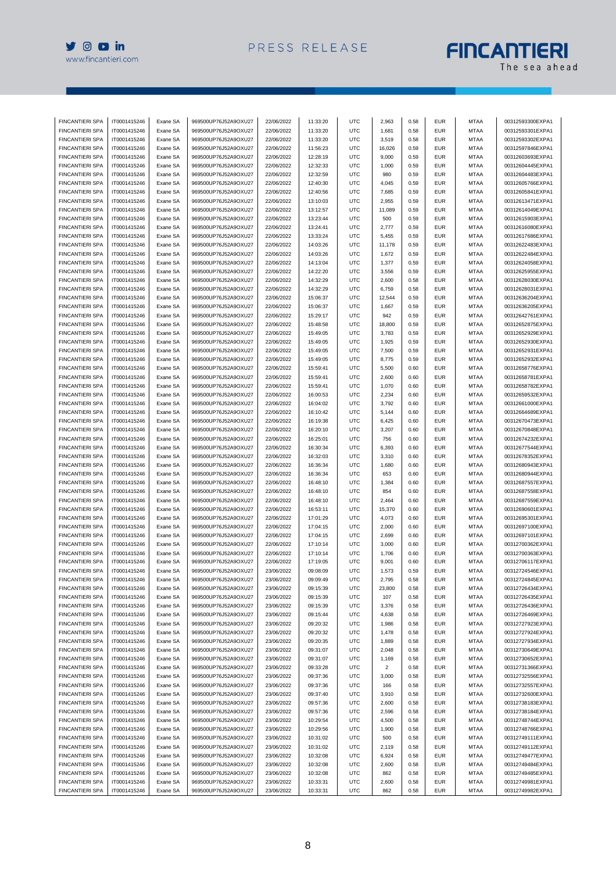

# **FINCANTIERI**

| <b>FINCANTIERI SPA</b> | IT0001415246 | Exane SA | 969500UP76J52A9OXU27 | 22/06/2022 | 11:33:20 | UTC        | 2,963          | 0.58 | <b>EUR</b> | <b>MTAA</b> | 00312593300EXPA1 |
|------------------------|--------------|----------|----------------------|------------|----------|------------|----------------|------|------------|-------------|------------------|
| <b>FINCANTIERI SPA</b> | IT0001415246 | Exane SA | 969500UP76J52A9OXU27 | 22/06/2022 | 11:33:20 | <b>UTC</b> | 1,681          | 0.58 | <b>EUR</b> | MTAA        | 00312593301EXPA1 |
| <b>FINCANTIERI SPA</b> | IT0001415246 | Exane SA | 969500UP76J52A9OXU27 | 22/06/2022 | 11:33:20 | <b>UTC</b> | 3,519          | 0.58 | <b>EUR</b> | <b>MTAA</b> | 00312593302EXPA1 |
| <b>FINCANTIERI SPA</b> | IT0001415246 | Exane SA | 969500UP76J52A9OXU27 | 22/06/2022 | 11:56:23 | UTC        | 16,026         | 0.59 | <b>EUR</b> | <b>MTAA</b> | 00312597846EXPA1 |
| <b>FINCANTIERI SPA</b> | IT0001415246 |          | 969500UP76J52A9OXU27 | 22/06/2022 | 12:28:19 | <b>UTC</b> | 9,000          | 0.59 | <b>EUR</b> | <b>MTAA</b> | 00312603693EXPA1 |
|                        |              | Exane SA |                      |            |          |            |                |      |            |             |                  |
| <b>FINCANTIERI SPA</b> | IT0001415246 | Exane SA | 969500UP76J52A9OXU27 | 22/06/2022 | 12:32:33 | <b>UTC</b> | 1,000          | 0.59 | <b>EUR</b> | <b>MTAA</b> | 00312604445EXPA1 |
| <b>FINCANTIERI SPA</b> | IT0001415246 | Exane SA | 969500UP76J52A9OXU27 | 22/06/2022 | 12:32:59 | UTC        | 980            | 0.59 | <b>EUR</b> | <b>MTAA</b> | 00312604483EXPA1 |
| <b>FINCANTIERI SPA</b> | IT0001415246 | Exane SA | 969500UP76J52A9OXU27 | 22/06/2022 | 12:40:30 | <b>UTC</b> | 4,045          | 0.59 | <b>EUR</b> | <b>MTAA</b> | 00312605766EXPA1 |
| <b>FINCANTIERI SPA</b> | IT0001415246 | Exane SA | 969500UP76J52A9OXU27 | 22/06/2022 | 12:40:56 | <b>UTC</b> | 7,685          | 0.59 | <b>EUR</b> | <b>MTAA</b> | 00312605841EXPA1 |
| <b>FINCANTIERI SPA</b> | IT0001415246 | Exane SA | 969500UP76J52A9OXU27 | 22/06/2022 | 13:10:03 | UTC        | 2,955          | 0.59 | <b>EUR</b> | <b>MTAA</b> | 00312613471EXPA1 |
| <b>FINCANTIERI SPA</b> | IT0001415246 | Exane SA | 969500UP76J52A9OXU27 | 22/06/2022 | 13:12:57 | <b>UTC</b> | 11,089         | 0.59 | <b>EUR</b> | <b>MTAA</b> | 00312614049EXPA1 |
| <b>FINCANTIERI SPA</b> | IT0001415246 | Exane SA | 969500UP76J52A9OXU27 | 22/06/2022 | 13:23:44 | <b>UTC</b> | 500            | 0.59 | <b>EUR</b> | <b>MTAA</b> | 00312615903EXPA1 |
| <b>FINCANTIERI SPA</b> | IT0001415246 | Exane SA | 969500UP76J52A9OXU27 | 22/06/2022 | 13:24:41 | UTC        | 2,777          | 0.59 | <b>EUR</b> | <b>MTAA</b> | 00312616080EXPA1 |
|                        |              |          |                      |            |          |            |                |      |            |             |                  |
| <b>FINCANTIERI SPA</b> | IT0001415246 | Exane SA | 969500UP76J52A9OXU27 | 22/06/2022 | 13:33:24 | UTC        | 5,455          | 0.59 | <b>EUR</b> | MTAA        | 00312617686EXPA1 |
| <b>FINCANTIERI SPA</b> | IT0001415246 | Exane SA | 969500UP76J52A9OXU27 | 22/06/2022 | 14:03:26 | UTC        | 11,178         | 0.59 | <b>EUR</b> | <b>MTAA</b> | 00312622483EXPA1 |
| <b>FINCANTIERI SPA</b> | IT0001415246 | Exane SA | 969500UP76J52A9OXU27 | 22/06/2022 | 14:03:26 | UTC        | 1,672          | 0.59 | <b>EUR</b> | <b>MTAA</b> | 00312622484EXPA1 |
| <b>FINCANTIERI SPA</b> | IT0001415246 | Exane SA | 969500UP76J52A9OXU27 | 22/06/2022 | 14:13:04 | UTC        | 1,377          | 0.59 | <b>EUR</b> | <b>MTAA</b> | 00312624058EXPA1 |
| <b>FINCANTIERI SPA</b> | IT0001415246 | Exane SA | 969500UP76J52A9OXU27 | 22/06/2022 | 14:22:20 | <b>UTC</b> | 3,556          | 0.59 | <b>EUR</b> | <b>MTAA</b> | 00312625955EXPA1 |
| <b>FINCANTIERI SPA</b> | IT0001415246 | Exane SA | 969500UP76J52A9OXU27 | 22/06/2022 | 14:32:29 | UTC        | 2,600          | 0.58 | <b>EUR</b> | <b>MTAA</b> | 00312628030EXPA1 |
| <b>FINCANTIERI SPA</b> | IT0001415246 | Exane SA | 969500UP76J52A9OXU27 | 22/06/2022 | 14:32:29 | <b>UTC</b> | 6,759          | 0.58 | <b>EUR</b> | <b>MTAA</b> | 00312628031EXPA1 |
| <b>FINCANTIERI SPA</b> | IT0001415246 | Exane SA | 969500UP76J52A9OXU27 | 22/06/2022 | 15:06:37 | <b>UTC</b> | 12,544         | 0.59 | <b>EUR</b> | <b>MTAA</b> | 00312636204EXPA1 |
|                        |              |          |                      |            |          |            |                |      |            |             |                  |
| <b>FINCANTIERI SPA</b> | IT0001415246 | Exane SA | 969500UP76J52A9OXU27 | 22/06/2022 | 15:06:37 | UTC        | 1,667          | 0.59 | <b>EUR</b> | <b>MTAA</b> | 00312636205EXPA1 |
| <b>FINCANTIERI SPA</b> | IT0001415246 | Exane SA | 969500UP76J52A9OXU27 | 22/06/2022 | 15:29:17 | <b>UTC</b> | 942            | 0.59 | <b>EUR</b> | <b>MTAA</b> | 00312642761EXPA1 |
| <b>FINCANTIERI SPA</b> | IT0001415246 | Exane SA | 969500UP76J52A9OXU27 | 22/06/2022 | 15:48:58 | <b>UTC</b> | 18,800         | 0.59 | <b>EUR</b> | <b>MTAA</b> | 00312652875EXPA1 |
| <b>FINCANTIERI SPA</b> | IT0001415246 | Exane SA | 969500UP76J52A9OXU27 | 22/06/2022 | 15:49:05 | UTC        | 3,783          | 0.59 | <b>EUR</b> | <b>MTAA</b> | 00312652929EXPA1 |
| <b>FINCANTIERI SPA</b> | IT0001415246 | Exane SA | 969500UP76J52A9OXU27 | 22/06/2022 | 15:49:05 | UTC        | 1,925          | 0.59 | <b>EUR</b> | MTAA        | 00312652930EXPA1 |
| <b>FINCANTIERI SPA</b> | IT0001415246 | Exane SA | 969500UP76J52A9OXU27 | 22/06/2022 | 15:49:05 | <b>UTC</b> | 7,500          | 0.59 | <b>EUR</b> | <b>MTAA</b> | 00312652931EXPA1 |
| <b>FINCANTIERI SPA</b> | IT0001415246 | Exane SA | 969500UP76J52A9OXU27 | 22/06/2022 | 15:49:05 | <b>UTC</b> | 8,775          | 0.59 | <b>EUR</b> | <b>MTAA</b> | 00312652932EXPA1 |
|                        |              |          |                      |            |          |            |                |      |            |             |                  |
| <b>FINCANTIERI SPA</b> | IT0001415246 | Exane SA | 969500UP76J52A9OXU27 | 22/06/2022 | 15:59:41 | UTC        | 5,500          | 0.60 | <b>EUR</b> | <b>MTAA</b> | 00312658776EXPA1 |
| <b>FINCANTIERI SPA</b> | IT0001415246 | Exane SA | 969500UP76J52A9OXU27 | 22/06/2022 | 15:59:41 | <b>UTC</b> | 2,600          | 0.60 | <b>EUR</b> | <b>MTAA</b> | 00312658781EXPA1 |
| <b>FINCANTIERI SPA</b> | IT0001415246 | Exane SA | 969500UP76J52A9OXU27 | 22/06/2022 | 15:59:41 | UTC        | 1,070          | 0.60 | <b>EUR</b> | <b>MTAA</b> | 00312658782EXPA1 |
| <b>FINCANTIERI SPA</b> | IT0001415246 | Exane SA | 969500UP76J52A9OXU27 | 22/06/2022 | 16:00:53 | UTC        | 2,234          | 0.60 | <b>EUR</b> | MTAA        | 00312659532EXPA1 |
| <b>FINCANTIERI SPA</b> | IT0001415246 | Exane SA | 969500UP76J52A9OXU27 | 22/06/2022 | 16:04:02 | <b>UTC</b> | 3,792          | 0.60 | <b>EUR</b> | <b>MTAA</b> | 00312661000EXPA1 |
| <b>FINCANTIERI SPA</b> | IT0001415246 | Exane SA | 969500UP76J52A9OXU27 | 22/06/2022 | 16:10:42 | UTC        | 5,144          | 0.60 | <b>EUR</b> | <b>MTAA</b> | 00312664689EXPA1 |
| <b>FINCANTIERI SPA</b> | IT0001415246 | Exane SA | 969500UP76J52A9OXU27 | 22/06/2022 | 16:19:38 | <b>UTC</b> | 6,425          | 0.60 | <b>EUR</b> | <b>MTAA</b> | 00312670473EXPA1 |
| <b>FINCANTIERI SPA</b> | IT0001415246 | Exane SA | 969500UP76J52A9OXU27 | 22/06/2022 | 16:20:10 | UTC        | 3,207          | 0.60 | <b>EUR</b> | <b>MTAA</b> | 00312670848EXPA1 |
|                        |              |          |                      |            |          |            |                |      |            |             |                  |
| <b>FINCANTIERI SPA</b> | IT0001415246 | Exane SA | 969500UP76J52A9OXU27 | 22/06/2022 | 16:25:01 | UTC        | 756            | 0.60 | <b>EUR</b> | <b>MTAA</b> | 00312674232EXPA1 |
| <b>FINCANTIERI SPA</b> | IT0001415246 | Exane SA | 969500UP76J52A9OXU27 | 22/06/2022 | 16:30:34 | UTC        | 6,393          | 0.60 | <b>EUR</b> | MTAA        | 00312677544EXPA1 |
| <b>FINCANTIERI SPA</b> | IT0001415246 | Exane SA | 969500UP76J52A9OXU27 | 22/06/2022 | 16:32:03 | UTC        | 3,310          | 0.60 | <b>EUR</b> | <b>MTAA</b> | 00312678352EXPA1 |
| <b>FINCANTIERI SPA</b> | IT0001415246 | Exane SA | 969500UP76J52A9OXU27 | 22/06/2022 | 16:36:34 | UTC        | 1,680          | 0.60 | <b>EUR</b> | <b>MTAA</b> | 00312680943EXPA1 |
| <b>FINCANTIERI SPA</b> | IT0001415246 | Exane SA | 969500UP76J52A9OXU27 | 22/06/2022 | 16:36:34 | UTC        | 653            | 0.60 | <b>EUR</b> | <b>MTAA</b> | 00312680944EXPA1 |
| <b>FINCANTIERI SPA</b> | IT0001415246 | Exane SA | 969500UP76J52A9OXU27 | 22/06/2022 | 16:48:10 | <b>UTC</b> | 1,384          | 0.60 | <b>EUR</b> | <b>MTAA</b> | 00312687557EXPA1 |
| <b>FINCANTIERI SPA</b> | IT0001415246 | Exane SA | 969500UP76J52A9OXU27 | 22/06/2022 | 16:48:10 | UTC        | 854            | 0.60 | <b>EUR</b> | <b>MTAA</b> | 00312687558EXPA1 |
| <b>FINCANTIERI SPA</b> | IT0001415246 |          |                      |            |          | <b>UTC</b> |                | 0.60 | <b>EUR</b> | <b>MTAA</b> |                  |
|                        |              | Exane SA | 969500UP76J52A9OXU27 | 22/06/2022 | 16:48:10 |            | 2,464          |      |            |             | 00312687559EXPA1 |
| <b>FINCANTIERI SPA</b> | IT0001415246 | Exane SA | 969500UP76J52A9OXU27 | 22/06/2022 | 16:53:11 | <b>UTC</b> | 15,370         | 0.60 | <b>EUR</b> | <b>MTAA</b> | 00312690601EXPA1 |
| <b>FINCANTIERI SPA</b> | IT0001415246 | Exane SA | 969500UP76J52A9OXU27 | 22/06/2022 | 17:01:29 | UTC        | 4,073          | 0.60 | <b>EUR</b> | <b>MTAA</b> | 00312695301EXPA1 |
| <b>FINCANTIERI SPA</b> | IT0001415246 | Exane SA | 969500UP76J52A9OXU27 | 22/06/2022 | 17:04:15 | <b>UTC</b> | 2,000          | 0.60 | <b>EUR</b> | <b>MTAA</b> | 00312697100EXPA1 |
| <b>FINCANTIERI SPA</b> | IT0001415246 | Exane SA | 969500UP76J52A9OXU27 | 22/06/2022 | 17:04:15 | UTC        | 2,699          | 0.60 | <b>EUR</b> | <b>MTAA</b> | 00312697101EXPA1 |
| <b>FINCANTIERI SPA</b> | IT0001415246 | Exane SA | 969500UP76J52A9OXU27 | 22/06/2022 | 17:10:14 | UTC        | 3,000          | 0.60 | <b>EUR</b> | <b>MTAA</b> | 00312700362EXPA1 |
| <b>FINCANTIERI SPA</b> | IT0001415246 | Exane SA | 969500UP76J52A9OXU27 | 22/06/2022 | 17:10:14 | UTC        | 1,706          | 0.60 | <b>EUR</b> | MTAA        | 00312700363EXPA1 |
| <b>FINCANTIERI SPA</b> | IT0001415246 | Exane SA | 969500UP76J52A9OXU27 | 22/06/2022 | 17:19:05 | <b>UTC</b> | 9,001          | 0.60 | <b>EUR</b> | <b>MTAA</b> | 00312706117EXPA1 |
| <b>FINCANTIERI SPA</b> | IT0001415246 | Exane SA | 969500UP76J52A9OXU27 | 23/06/2022 | 09:08:09 | <b>UTC</b> | 1.573          | 0.59 | <b>EUR</b> | <b>MTAA</b> | 00312724546EXPA1 |
|                        |              |          |                      |            |          |            |                |      |            |             |                  |
| <b>FINCANTIERI SPA</b> | IT0001415246 | Exane SA | 969500UP76J52A9OXU27 | 23/06/2022 | 09:09:49 | <b>UTC</b> | 2,795          | 0.58 | EUR        | MTAA        | 00312724845EXPA1 |
| <b>FINCANTIERI SPA</b> | IT0001415246 | Exane SA | 969500UP76J52A9OXU27 | 23/06/2022 | 09:15:39 | <b>UTC</b> | 23,800         | 0.58 | <b>EUR</b> | <b>MTAA</b> | 00312726434EXPA1 |
| <b>FINCANTIERI SPA</b> | IT0001415246 | Exane SA | 969500UP76J52A9OXU27 | 23/06/2022 | 09:15:39 | <b>UTC</b> | 107            | 0.58 | <b>EUR</b> | <b>MTAA</b> | 00312726435EXPA1 |
| <b>FINCANTIERI SPA</b> | IT0001415246 | Exane SA | 969500UP76J52A9OXU27 | 23/06/2022 | 09:15:39 | <b>UTC</b> | 3,376          | 0.58 | <b>EUR</b> | <b>MTAA</b> | 00312726436EXPA1 |
| <b>FINCANTIERI SPA</b> | IT0001415246 | Exane SA | 969500UP76J52A9OXU27 | 23/06/2022 | 09:15:44 | <b>UTC</b> | 4,638          | 0.58 | <b>EUR</b> | <b>MTAA</b> | 00312726469EXPA1 |
| <b>FINCANTIERI SPA</b> | IT0001415246 | Exane SA | 969500UP76J52A9OXU27 | 23/06/2022 | 09:20:32 | <b>UTC</b> | 1,986          | 0.58 | <b>EUR</b> | <b>MTAA</b> | 00312727923EXPA1 |
| <b>FINCANTIERI SPA</b> | IT0001415246 | Exane SA | 969500UP76J52A9OXU27 | 23/06/2022 | 09:20:32 | <b>UTC</b> | 1,478          | 0.58 | EUR        | MTAA        | 00312727924EXPA1 |
| <b>FINCANTIERI SPA</b> | IT0001415246 | Exane SA | 969500UP76J52A9OXU27 | 23/06/2022 | 09:20:35 | <b>UTC</b> | 1,889          | 0.58 | <b>EUR</b> | <b>MTAA</b> | 00312727934EXPA1 |
|                        |              |          |                      |            |          |            |                |      |            |             |                  |
| <b>FINCANTIERI SPA</b> | IT0001415246 | Exane SA | 969500UP76J52A9OXU27 | 23/06/2022 | 09:31:07 | <b>UTC</b> | 2,048          | 0.58 | <b>EUR</b> | <b>MTAA</b> | 00312730649EXPA1 |
| <b>FINCANTIERI SPA</b> | IT0001415246 | Exane SA | 969500UP76J52A9OXU27 | 23/06/2022 | 09:31:07 | <b>UTC</b> | 1,169          | 0.58 | <b>EUR</b> | MTAA        | 00312730652EXPA1 |
| <b>FINCANTIERI SPA</b> | IT0001415246 | Exane SA | 969500UP76J52A9OXU27 | 23/06/2022 | 09:33:28 | <b>UTC</b> | $\overline{c}$ | 0.58 | <b>EUR</b> | <b>MTAA</b> | 00312731366EXPA1 |
| <b>FINCANTIERI SPA</b> | IT0001415246 | Exane SA | 969500UP76J52A9OXU27 | 23/06/2022 | 09:37:36 | <b>UTC</b> | 3,000          | 0.58 | EUR        | <b>MTAA</b> | 00312732556EXPA1 |
| <b>FINCANTIERI SPA</b> | IT0001415246 | Exane SA | 969500UP76J52A9OXU27 | 23/06/2022 | 09:37:36 | UTC        | 166            | 0.58 | <b>EUR</b> | MTAA        | 00312732557EXPA1 |
| <b>FINCANTIERI SPA</b> | IT0001415246 | Exane SA | 969500UP76J52A9OXU27 | 23/06/2022 | 09:37:40 | <b>UTC</b> | 3,910          | 0.58 | <b>EUR</b> | <b>MTAA</b> | 00312732600EXPA1 |
| <b>FINCANTIERI SPA</b> | IT0001415246 | Exane SA | 969500UP76J52A9OXU27 | 23/06/2022 | 09:57:36 | <b>UTC</b> | 2,600          | 0.58 | <b>EUR</b> | <b>MTAA</b> | 00312738183EXPA1 |
| <b>FINCANTIERI SPA</b> | IT0001415246 | Exane SA | 969500UP76J52A9OXU27 | 23/06/2022 | 09:57:36 | UTC        | 2,596          | 0.58 | <b>EUR</b> | MTAA        | 00312738184EXPA1 |
|                        |              |          |                      |            |          |            |                |      |            |             |                  |
| <b>FINCANTIERI SPA</b> | IT0001415246 | Exane SA | 969500UP76J52A9OXU27 | 23/06/2022 | 10:29:54 | <b>UTC</b> | 4,500          | 0.58 | <b>EUR</b> | <b>MTAA</b> | 00312748744EXPA1 |
| <b>FINCANTIERI SPA</b> | IT0001415246 | Exane SA | 969500UP76J52A9OXU27 | 23/06/2022 | 10:29:56 | <b>UTC</b> | 1,900          | 0.58 | <b>EUR</b> | <b>MTAA</b> | 00312748766EXPA1 |
| FINCANTIERI SPA        | IT0001415246 | Exane SA | 969500UP76J52A9OXU27 | 23/06/2022 | 10:31:02 | <b>UTC</b> | 500            | 0.58 | EUR        | MTAA        | 00312749111EXPA1 |
| <b>FINCANTIERI SPA</b> | IT0001415246 | Exane SA | 969500UP76J52A9OXU27 | 23/06/2022 | 10:31:02 | <b>UTC</b> | 2,119          | 0.58 | <b>EUR</b> | <b>MTAA</b> | 00312749112EXPA1 |
| <b>FINCANTIERI SPA</b> | IT0001415246 | Exane SA | 969500UP76J52A9OXU27 | 23/06/2022 | 10:32:08 | <b>UTC</b> | 6,924          | 0.58 | <b>EUR</b> | <b>MTAA</b> | 00312749477EXPA1 |
| <b>FINCANTIERI SPA</b> | IT0001415246 | Exane SA | 969500UP76J52A9OXU27 | 23/06/2022 | 10:32:08 | UTC        | 2,600          | 0.58 | <b>EUR</b> | MTAA        | 00312749484EXPA1 |
| <b>FINCANTIERI SPA</b> | IT0001415246 | Exane SA | 969500UP76J52A9OXU27 | 23/06/2022 | 10:32:08 | <b>UTC</b> | 862            | 0.58 | <b>EUR</b> | <b>MTAA</b> | 00312749485EXPA1 |
| <b>FINCANTIERI SPA</b> | IT0001415246 | Exane SA | 969500UP76J52A9OXU27 | 23/06/2022 | 10:33:31 | <b>UTC</b> | 2,600          | 0.58 | <b>EUR</b> | <b>MTAA</b> | 00312749981EXPA1 |
| FINCANTIERI SPA        | IT0001415246 | Exane SA | 969500UP76J52A9OXU27 | 23/06/2022 | 10:33:31 | UTC        | 862            | 0.58 | <b>EUR</b> | MTAA        | 00312749982EXPA1 |
|                        |              |          |                      |            |          |            |                |      |            |             |                  |